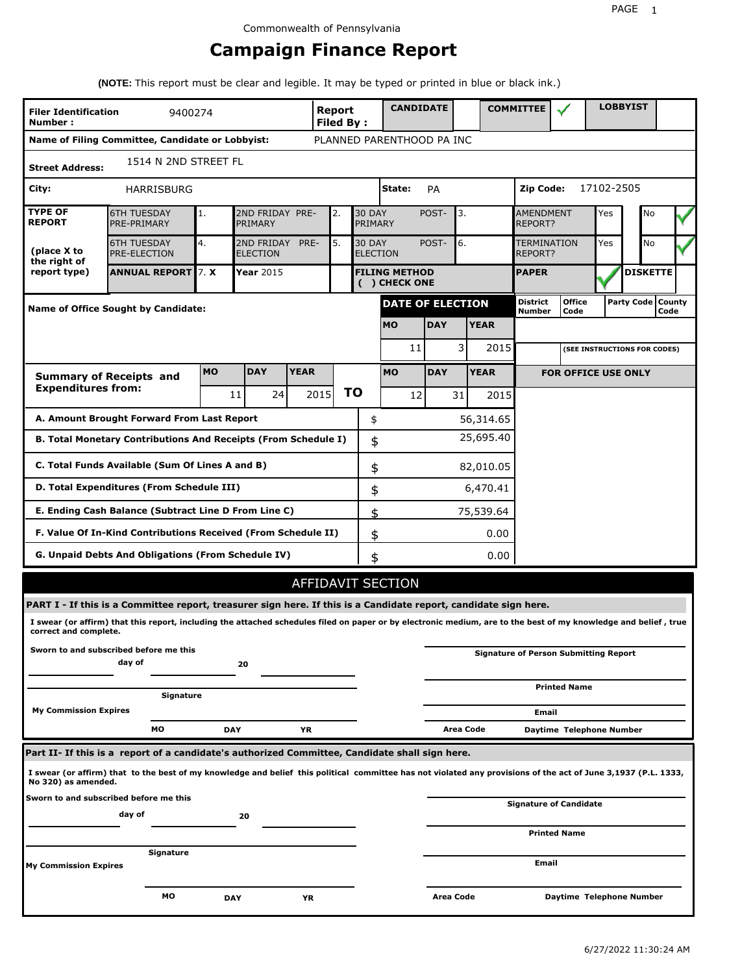# **Campaign Finance Report**

**(NOTE:** This report must be clear and legible. It may be typed or printed in blue or black ink.)

| <b>Filer Identification</b><br>Number: | 9400274                                                                                                                                                         |           |                                    |             | <b>Report</b><br>Filed By: |                                  | <b>CANDIDATE</b>                      |            |             |          | <b>COMMITTEE</b>          |                                              |            | <b>LOBBYIST</b> |                              |  |
|----------------------------------------|-----------------------------------------------------------------------------------------------------------------------------------------------------------------|-----------|------------------------------------|-------------|----------------------------|----------------------------------|---------------------------------------|------------|-------------|----------|---------------------------|----------------------------------------------|------------|-----------------|------------------------------|--|
|                                        | Name of Filing Committee, Candidate or Lobbyist:                                                                                                                |           |                                    |             |                            |                                  | PLANNED PARENTHOOD PA INC             |            |             |          |                           |                                              |            |                 |                              |  |
| <b>Street Address:</b>                 | 1514 N 2ND STREET FL                                                                                                                                            |           |                                    |             |                            |                                  |                                       |            |             |          |                           |                                              |            |                 |                              |  |
| City:                                  | HARRISBURG                                                                                                                                                      |           |                                    |             |                            |                                  | State:                                | <b>PA</b>  |             |          | <b>Zip Code:</b>          |                                              | 17102-2505 |                 |                              |  |
| <b>TYPE OF</b><br><b>REPORT</b>        | <b>6TH TUESDAY</b><br>PRE-PRIMARY                                                                                                                               | 1.        | 2ND FRIDAY PRE-<br>PRIMARY         |             | 2.                         | <b>30 DAY</b><br>PRIMARY         |                                       | POST-      | 3.          |          | AMENDMENT<br>REPORT?      |                                              | Yes        | No              |                              |  |
| (place X to<br>the right of            | <b>6TH TUESDAY</b><br>PRE-ELECTION                                                                                                                              | 4.        | 2ND FRIDAY PRE-<br><b>ELECTION</b> |             | 5.                         | <b>30 DAY</b><br><b>ELECTION</b> |                                       | POST-      | 6.          |          | TERMINATION<br>REPORT?    |                                              | Yes        | No              |                              |  |
| report type)                           | <b>ANNUAL REPORT 7. X</b>                                                                                                                                       |           | Year 2015                          |             |                            |                                  | <b>FILING METHOD</b><br>( ) CHECK ONE |            |             |          | <b>PAPER</b>              |                                              |            | <b>DISKETTE</b> |                              |  |
|                                        | Name of Office Sought by Candidate:                                                                                                                             |           |                                    |             |                            |                                  | <b>DATE OF ELECTION</b>               |            |             |          | <b>District</b><br>Number | <b>Office</b><br>Code                        |            |                 | Party Code   County<br>Code  |  |
|                                        |                                                                                                                                                                 |           |                                    |             |                            |                                  | <b>MO</b>                             | <b>DAY</b> | <b>YEAR</b> |          |                           |                                              |            |                 |                              |  |
|                                        |                                                                                                                                                                 |           |                                    |             |                            |                                  | 11                                    |            | 3           | 2015     |                           |                                              |            |                 | (SEE INSTRUCTIONS FOR CODES) |  |
|                                        | <b>Summary of Receipts and</b>                                                                                                                                  | <b>MO</b> | <b>DAY</b>                         | <b>YEAR</b> |                            |                                  | <b>MO</b>                             | <b>DAY</b> | <b>YEAR</b> |          |                           | <b>FOR OFFICE USE ONLY</b>                   |            |                 |                              |  |
| <b>Expenditures from:</b>              |                                                                                                                                                                 |           | 24<br>11                           |             | 2015                       | <b>TO</b>                        | 12                                    |            | 31          | 2015     |                           |                                              |            |                 |                              |  |
|                                        | A. Amount Brought Forward From Last Report                                                                                                                      |           |                                    |             |                            | \$                               |                                       |            | 56,314.65   |          |                           |                                              |            |                 |                              |  |
|                                        | B. Total Monetary Contributions And Receipts (From Schedule I)                                                                                                  |           |                                    |             |                            | \$                               |                                       |            | 25,695.40   |          |                           |                                              |            |                 |                              |  |
|                                        | C. Total Funds Available (Sum Of Lines A and B)                                                                                                                 |           |                                    |             |                            | \$                               |                                       |            | 82,010.05   |          |                           |                                              |            |                 |                              |  |
|                                        | D. Total Expenditures (From Schedule III)                                                                                                                       |           |                                    |             |                            | \$                               |                                       |            |             | 6,470.41 |                           |                                              |            |                 |                              |  |
|                                        | E. Ending Cash Balance (Subtract Line D From Line C)                                                                                                            |           |                                    |             |                            | \$                               |                                       |            | 75,539.64   |          |                           |                                              |            |                 |                              |  |
|                                        | F. Value Of In-Kind Contributions Received (From Schedule II)                                                                                                   |           |                                    |             |                            | \$                               |                                       |            |             | 0.00     |                           |                                              |            |                 |                              |  |
|                                        | G. Unpaid Debts And Obligations (From Schedule IV)                                                                                                              |           |                                    |             |                            | \$                               |                                       |            |             | 0.00     |                           |                                              |            |                 |                              |  |
|                                        |                                                                                                                                                                 |           |                                    |             |                            |                                  | AFFIDAVIT SECTION                     |            |             |          |                           |                                              |            |                 |                              |  |
|                                        | PART I - If this is a Committee report, treasurer sign here. If this is a Candidate report, candidate sign here.                                                |           |                                    |             |                            |                                  |                                       |            |             |          |                           |                                              |            |                 |                              |  |
| correct and complete.                  | I swear (or affirm) that this report, including the attached schedules filed on paper or by electronic medium, are to the best of my knowledge and belief, true |           |                                    |             |                            |                                  |                                       |            |             |          |                           |                                              |            |                 |                              |  |
|                                        | Sworn to and subscribed before me this<br>day of                                                                                                                |           | 20                                 |             |                            |                                  |                                       |            |             |          |                           | <b>Signature of Person Submitting Report</b> |            |                 |                              |  |
|                                        | Signature                                                                                                                                                       |           |                                    |             |                            |                                  |                                       |            |             |          |                           | <b>Printed Name</b>                          |            |                 |                              |  |
| <b>My Commission Expires</b>           |                                                                                                                                                                 |           |                                    |             |                            |                                  |                                       |            |             |          | Email                     |                                              |            |                 |                              |  |
|                                        | MО                                                                                                                                                              |           | <b>DAY</b>                         | YR          |                            |                                  |                                       |            | Area Code   |          |                           | Daytime Telephone Number                     |            |                 |                              |  |
|                                        | Part II- If this is a report of a candidate's authorized Committee, Candidate shall sign here.                                                                  |           |                                    |             |                            |                                  |                                       |            |             |          |                           |                                              |            |                 |                              |  |
| No 320) as amended.                    | I swear (or affirm) that to the best of my knowledge and belief this political committee has not violated any provisions of the act of June 3,1937 (P.L. 1333,  |           |                                    |             |                            |                                  |                                       |            |             |          |                           |                                              |            |                 |                              |  |
|                                        | Sworn to and subscribed before me this<br>day of                                                                                                                |           | 20                                 |             |                            |                                  |                                       |            |             |          |                           | <b>Signature of Candidate</b>                |            |                 |                              |  |
|                                        |                                                                                                                                                                 |           |                                    |             |                            |                                  |                                       |            |             |          |                           | <b>Printed Name</b>                          |            |                 |                              |  |
| <b>My Commission Expires</b>           | Signature                                                                                                                                                       |           |                                    |             |                            |                                  |                                       |            |             |          | Email                     |                                              |            |                 |                              |  |
|                                        | МO                                                                                                                                                              |           | DAY                                | ΥR          |                            |                                  |                                       | Area Code  |             |          |                           | Daytime Telephone Number                     |            |                 |                              |  |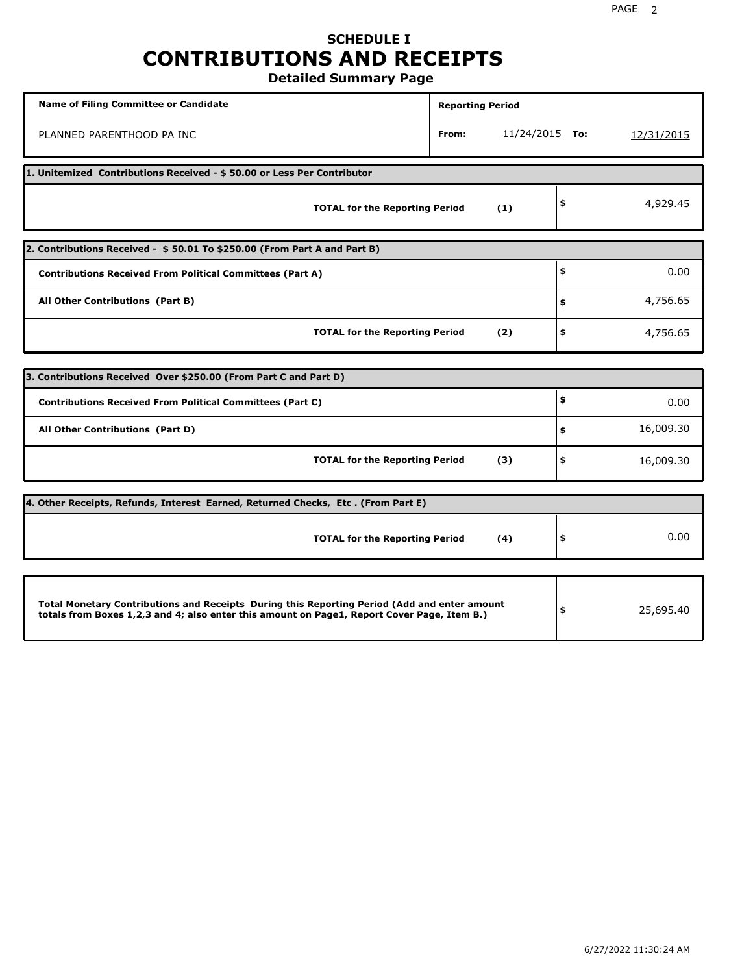# **SCHEDULE I CONTRIBUTIONS AND RECEIPTS**

**Detailed Summary Page**

| <b>Name of Filing Committee or Candidate</b>                                                                                                                                                | <b>Reporting Period</b> |                |                 |
|---------------------------------------------------------------------------------------------------------------------------------------------------------------------------------------------|-------------------------|----------------|-----------------|
| PLANNED PARENTHOOD PA INC                                                                                                                                                                   | From:                   | 11/24/2015 To: | 12/31/2015      |
| 1. Unitemized Contributions Received - \$50.00 or Less Per Contributor                                                                                                                      |                         |                |                 |
| <b>TOTAL for the Reporting Period</b>                                                                                                                                                       |                         | (1)            | \$<br>4,929.45  |
| 2. Contributions Received - \$50.01 To \$250.00 (From Part A and Part B)                                                                                                                    |                         |                |                 |
| <b>Contributions Received From Political Committees (Part A)</b>                                                                                                                            |                         |                | \$<br>0.00      |
| All Other Contributions (Part B)                                                                                                                                                            |                         |                | \$<br>4,756.65  |
| <b>TOTAL for the Reporting Period</b>                                                                                                                                                       |                         | (2)            | \$<br>4,756.65  |
|                                                                                                                                                                                             |                         |                |                 |
| 3. Contributions Received Over \$250.00 (From Part C and Part D)                                                                                                                            |                         |                |                 |
| <b>Contributions Received From Political Committees (Part C)</b>                                                                                                                            |                         |                | \$<br>0.00      |
| All Other Contributions (Part D)                                                                                                                                                            |                         |                | \$<br>16,009.30 |
| <b>TOTAL for the Reporting Period</b>                                                                                                                                                       |                         | (3)            | \$<br>16,009.30 |
| 4. Other Receipts, Refunds, Interest Earned, Returned Checks, Etc. (From Part E)                                                                                                            |                         |                |                 |
| <b>TOTAL for the Reporting Period</b>                                                                                                                                                       |                         | (4)            | \$<br>0.00      |
|                                                                                                                                                                                             |                         |                |                 |
| Total Monetary Contributions and Receipts During this Reporting Period (Add and enter amount<br>totals from Boxes 1,2,3 and 4; also enter this amount on Page1, Report Cover Page, Item B.) |                         |                | \$<br>25,695.40 |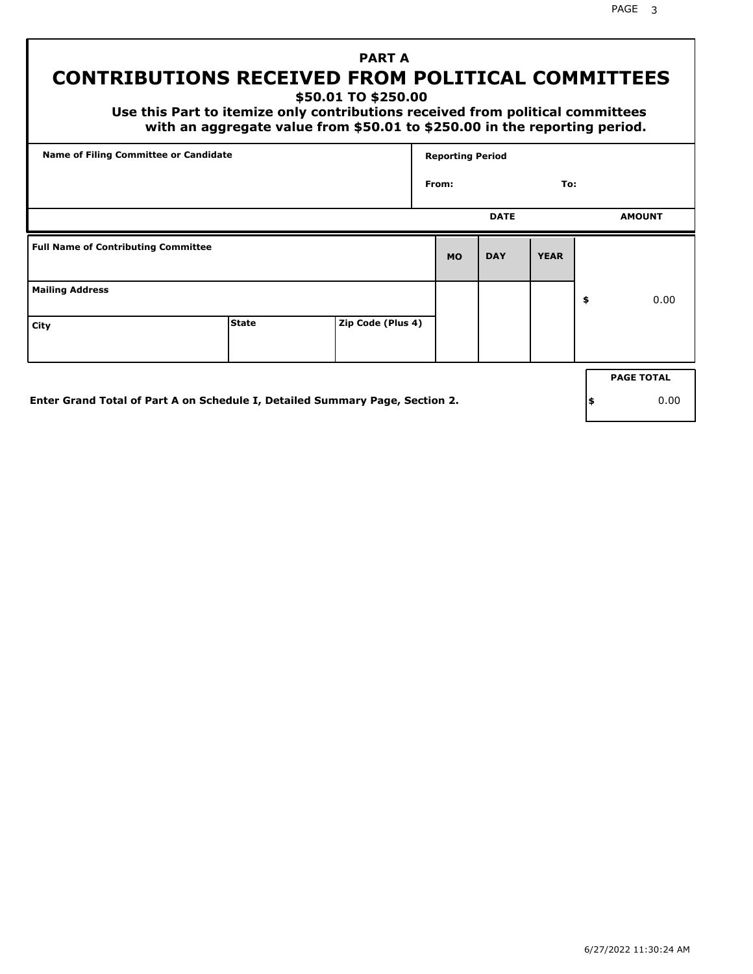# **CONTRIBUTIONS RECEIVED FROM POLITICAL COMMITTEES**

**\$50.01 TO \$250.00**

 **Use this Part to itemize only contributions received from political committees with an aggregate value from \$50.01 to \$250.00 in the reporting period.**

 **PART A**

| Name of Filing Committee or Candidate      |              |                   | <b>Reporting Period</b> |             |             |    |                   |
|--------------------------------------------|--------------|-------------------|-------------------------|-------------|-------------|----|-------------------|
|                                            |              |                   | From:                   |             | To:         |    |                   |
|                                            |              |                   |                         | <b>DATE</b> |             |    | <b>AMOUNT</b>     |
| <b>Full Name of Contributing Committee</b> |              |                   | <b>MO</b>               | <b>DAY</b>  | <b>YEAR</b> |    |                   |
| <b>Mailing Address</b>                     |              |                   |                         |             |             | \$ | 0.00              |
| City                                       | <b>State</b> | Zip Code (Plus 4) |                         |             |             |    |                   |
|                                            |              |                   |                         |             |             |    | <b>PAGE TOTAL</b> |
|                                            |              |                   |                         |             |             |    |                   |

**Enter Grand Total of Part A on Schedule I, Detailed Summary Page, Section 2.**

**\$** 0.00

PAGE 3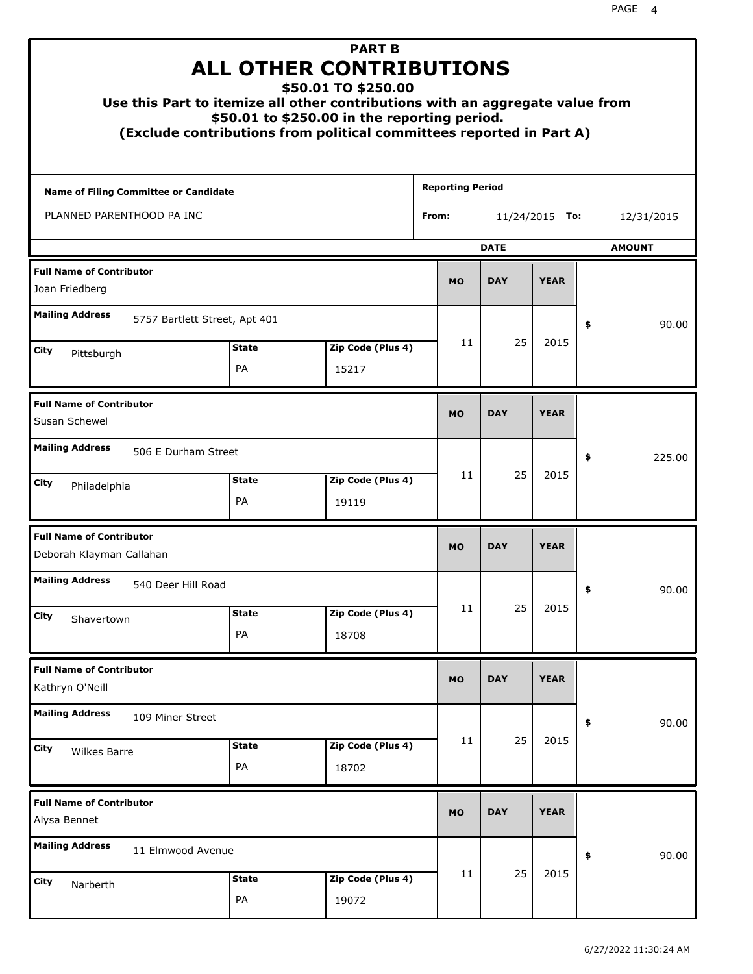| Use this Part to itemize all other contributions with an aggregate value from<br>(Exclude contributions from political committees reported in Part A) |                    | <b>PART B</b><br><b>ALL OTHER CONTRIBUTIONS</b><br>\$50.01 TO \$250.00<br>\$50.01 to \$250.00 in the reporting period. |                         |             |                  |    |               |
|-------------------------------------------------------------------------------------------------------------------------------------------------------|--------------------|------------------------------------------------------------------------------------------------------------------------|-------------------------|-------------|------------------|----|---------------|
| Name of Filing Committee or Candidate                                                                                                                 |                    |                                                                                                                        | <b>Reporting Period</b> |             |                  |    |               |
| PLANNED PARENTHOOD PA INC                                                                                                                             |                    |                                                                                                                        | From:                   |             | $11/24/2015$ To: |    | 12/31/2015    |
|                                                                                                                                                       |                    |                                                                                                                        |                         | <b>DATE</b> |                  |    | <b>AMOUNT</b> |
| <b>Full Name of Contributor</b><br>Joan Friedberg                                                                                                     |                    |                                                                                                                        | <b>MO</b>               | <b>DAY</b>  | <b>YEAR</b>      |    |               |
| <b>Mailing Address</b><br>5757 Bartlett Street, Apt 401                                                                                               |                    |                                                                                                                        |                         |             |                  | \$ | 90.00         |
| City                                                                                                                                                  | <b>State</b>       | Zip Code (Plus 4)                                                                                                      | 11                      | 25          | 2015             |    |               |
| Pittsburgh                                                                                                                                            | PA                 | 15217                                                                                                                  |                         |             |                  |    |               |
| <b>Full Name of Contributor</b><br>Susan Schewel                                                                                                      |                    |                                                                                                                        | <b>MO</b>               | <b>DAY</b>  | <b>YEAR</b>      |    |               |
| <b>Mailing Address</b><br>506 E Durham Street                                                                                                         |                    |                                                                                                                        |                         |             |                  | \$ | 225.00        |
| City<br>Philadelphia                                                                                                                                  | <b>State</b><br>PA | Zip Code (Plus 4)<br>19119                                                                                             | 11                      | 25          | 2015             |    |               |
| <b>Full Name of Contributor</b><br>Deborah Klayman Callahan                                                                                           |                    |                                                                                                                        | <b>MO</b>               | <b>DAY</b>  | <b>YEAR</b>      |    |               |
| <b>Mailing Address</b><br>540 Deer Hill Road                                                                                                          |                    |                                                                                                                        |                         |             |                  | ÷, | 90.00         |
| City<br>Shavertown                                                                                                                                    | <b>State</b>       | Zip Code (Plus 4)                                                                                                      | 11                      | 25          | 2015             |    |               |
|                                                                                                                                                       | PA                 | 18708                                                                                                                  |                         |             |                  |    |               |
| <b>Full Name of Contributor</b><br>Kathryn O'Neill                                                                                                    |                    |                                                                                                                        | <b>MO</b>               | <b>DAY</b>  | <b>YEAR</b>      |    |               |
| <b>Mailing Address</b><br>109 Miner Street                                                                                                            |                    |                                                                                                                        |                         |             |                  | \$ | 90.00         |
| City<br>Wilkes Barre                                                                                                                                  | <b>State</b><br>PA | Zip Code (Plus 4)<br>18702                                                                                             | 11                      | 25          | 2015             |    |               |
| <b>Full Name of Contributor</b><br>Alysa Bennet                                                                                                       |                    |                                                                                                                        | <b>MO</b>               | <b>DAY</b>  | <b>YEAR</b>      |    |               |
| <b>Mailing Address</b><br>11 Elmwood Avenue                                                                                                           |                    |                                                                                                                        |                         |             |                  | \$ | 90.00         |
| City<br>Narberth                                                                                                                                      | <b>State</b><br>PA | Zip Code (Plus 4)<br>19072                                                                                             | 11                      | 25          | 2015             |    |               |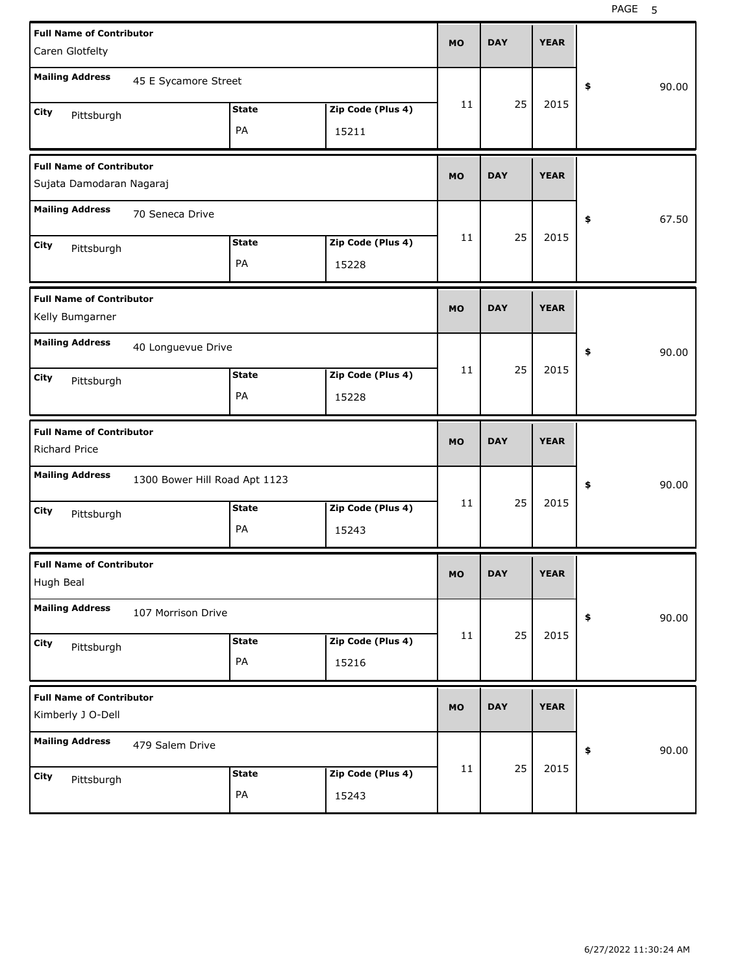| <b>Full Name of Contributor</b><br>Caren Glotfelty                                                                     | <b>MO</b> | <b>DAY</b> | <b>YEAR</b> |             |
|------------------------------------------------------------------------------------------------------------------------|-----------|------------|-------------|-------------|
| <b>Mailing Address</b><br>45 E Sycamore Street                                                                         |           |            |             | 90.00<br>\$ |
| Zip Code (Plus 4)<br><b>State</b><br>City<br>Pittsburgh<br>PA<br>15211                                                 | 11        | 25         | 2015        |             |
| <b>Full Name of Contributor</b><br>Sujata Damodaran Nagaraj                                                            | <b>MO</b> | <b>DAY</b> | <b>YEAR</b> |             |
| <b>Mailing Address</b><br>70 Seneca Drive                                                                              |           |            |             | 67.50<br>\$ |
| Zip Code (Plus 4)<br><b>State</b><br>City<br>Pittsburgh<br>PA<br>15228                                                 | 11        | 25         | 2015        |             |
| <b>Full Name of Contributor</b><br>Kelly Bumgarner                                                                     | <b>MO</b> | <b>DAY</b> | <b>YEAR</b> |             |
| <b>Mailing Address</b><br>40 Longuevue Drive<br>Zip Code (Plus 4)<br><b>State</b><br>City<br>Pittsburgh<br>PA<br>15228 | 11        | 25         | 2015        | 90.00<br>\$ |
|                                                                                                                        |           |            |             |             |
| <b>Full Name of Contributor</b><br><b>Richard Price</b>                                                                | <b>MO</b> | <b>DAY</b> | <b>YEAR</b> |             |
| <b>Mailing Address</b><br>1300 Bower Hill Road Apt 1123                                                                |           |            |             | 90.00<br>\$ |
| Zip Code (Plus 4)<br><b>State</b><br>City<br>Pittsburgh<br>PA<br>15243                                                 | 11        | 25         | 2015        |             |
| <b>Full Name of Contributor</b><br>Hugh Beal                                                                           | MO        | <b>DAY</b> | <b>YEAR</b> |             |
| <b>Mailing Address</b><br>107 Morrison Drive                                                                           |           |            |             | 90.00<br>\$ |
| Zip Code (Plus 4)<br><b>State</b><br>City<br>Pittsburgh<br>PA<br>15216                                                 | 11        | 25         | 2015        |             |
| <b>Full Name of Contributor</b><br>Kimberly J O-Dell                                                                   | <b>MO</b> | <b>DAY</b> | <b>YEAR</b> |             |
| <b>Mailing Address</b><br>479 Salem Drive                                                                              |           | 25         | 2015        | 90.00<br>\$ |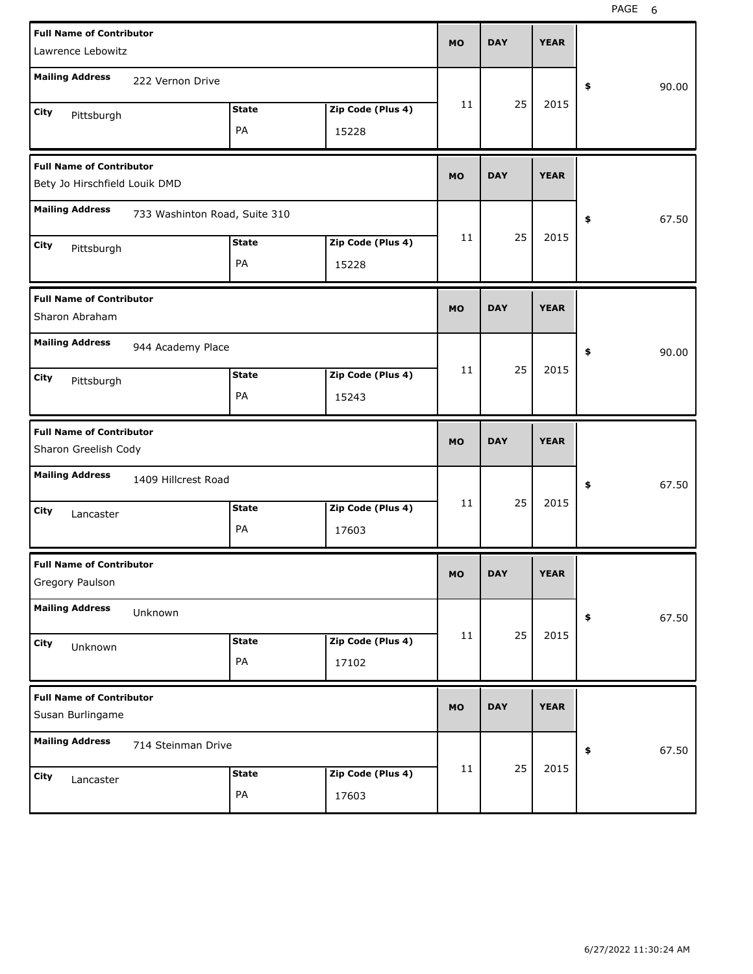| <b>Full Name of Contributor</b><br>Lawrence Lebowitz             |                               |                    |                            | <b>MO</b> | <b>DAY</b> | <b>YEAR</b> |             |
|------------------------------------------------------------------|-------------------------------|--------------------|----------------------------|-----------|------------|-------------|-------------|
| <b>Mailing Address</b>                                           | 222 Vernon Drive              |                    |                            |           |            |             | \$<br>90.00 |
| City<br>Pittsburgh                                               |                               | <b>State</b><br>PA | Zip Code (Plus 4)<br>15228 | 11        | 25         | 2015        |             |
| <b>Full Name of Contributor</b><br>Bety Jo Hirschfield Louik DMD |                               |                    |                            | <b>MO</b> | <b>DAY</b> | <b>YEAR</b> |             |
| <b>Mailing Address</b>                                           | 733 Washinton Road, Suite 310 |                    |                            |           |            |             | 67.50<br>\$ |
| City<br>Pittsburgh                                               |                               | <b>State</b><br>PA | Zip Code (Plus 4)<br>15228 | 11        | 25         | 2015        |             |
| <b>Full Name of Contributor</b><br>Sharon Abraham                |                               |                    |                            | <b>MO</b> | <b>DAY</b> | <b>YEAR</b> |             |
| <b>Mailing Address</b>                                           | 944 Academy Place             |                    |                            |           |            |             | 90.00<br>\$ |
| City<br>Pittsburgh                                               |                               | <b>State</b><br>PA | Zip Code (Plus 4)<br>15243 | 11        | 25         | 2015        |             |
|                                                                  |                               |                    |                            |           |            |             |             |
| <b>Full Name of Contributor</b><br>Sharon Greelish Cody          |                               |                    |                            | <b>MO</b> | <b>DAY</b> | <b>YEAR</b> |             |
| <b>Mailing Address</b>                                           | 1409 Hillcrest Road           |                    |                            |           |            |             | 67.50<br>\$ |
| City<br>Lancaster                                                |                               | <b>State</b><br>PA | Zip Code (Plus 4)<br>17603 | 11        | 25         | 2015        |             |
| <b>Full Name of Contributor</b><br>Gregory Paulson               |                               |                    |                            | <b>MO</b> | <b>DAY</b> | <b>YEAR</b> |             |
| <b>Mailing Address</b>                                           | Unknown                       |                    |                            |           |            |             | 67.50<br>\$ |
| City<br>Unknown                                                  |                               | <b>State</b><br>PA | Zip Code (Plus 4)<br>17102 | 11        | 25         | 2015        |             |
| <b>Full Name of Contributor</b><br>Susan Burlingame              |                               |                    |                            | <b>MO</b> | <b>DAY</b> | <b>YEAR</b> |             |
| <b>Mailing Address</b>                                           | 714 Steinman Drive            |                    |                            |           | 25         |             | 67.50<br>\$ |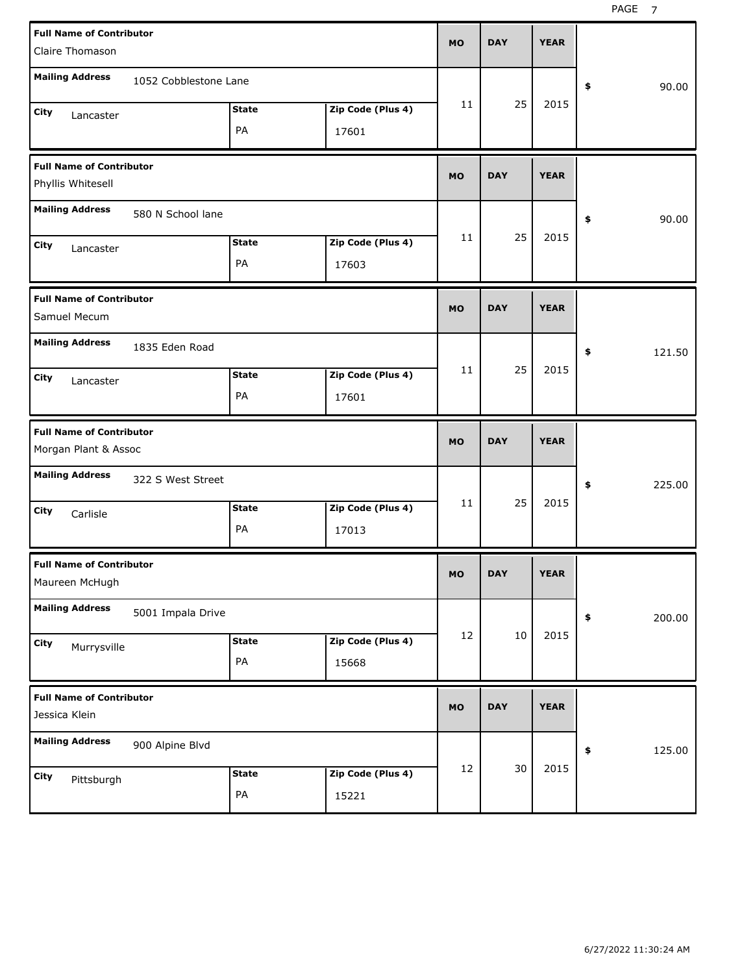| <b>Full Name of Contributor</b><br>Claire Thomason      |                       |                    |                            | <b>MO</b> | <b>DAY</b> | <b>YEAR</b> |              |
|---------------------------------------------------------|-----------------------|--------------------|----------------------------|-----------|------------|-------------|--------------|
| <b>Mailing Address</b>                                  | 1052 Cobblestone Lane |                    |                            |           |            |             | \$<br>90.00  |
| City<br>Lancaster                                       |                       | <b>State</b><br>PA | Zip Code (Plus 4)<br>17601 | 11        | 25         | 2015        |              |
| <b>Full Name of Contributor</b><br>Phyllis Whitesell    |                       |                    |                            | <b>MO</b> | <b>DAY</b> | <b>YEAR</b> |              |
| <b>Mailing Address</b>                                  | 580 N School lane     |                    |                            |           |            |             | \$<br>90.00  |
| City<br>Lancaster                                       |                       | <b>State</b><br>PA | Zip Code (Plus 4)<br>17603 | 11        | 25         | 2015        |              |
| <b>Full Name of Contributor</b><br>Samuel Mecum         |                       |                    |                            | <b>MO</b> | <b>DAY</b> | <b>YEAR</b> |              |
| <b>Mailing Address</b>                                  | 1835 Eden Road        |                    |                            | 11        | 25         | 2015        | \$<br>121.50 |
| City<br>Lancaster                                       |                       | <b>State</b><br>PA | Zip Code (Plus 4)<br>17601 |           |            |             |              |
|                                                         |                       |                    |                            |           |            |             |              |
| <b>Full Name of Contributor</b><br>Morgan Plant & Assoc |                       |                    |                            | <b>MO</b> | <b>DAY</b> | <b>YEAR</b> |              |
| <b>Mailing Address</b>                                  | 322 S West Street     |                    |                            |           |            |             | \$<br>225.00 |
| City<br>Carlisle                                        |                       | <b>State</b><br>PA | Zip Code (Plus 4)<br>17013 | 11        | 25         | 2015        |              |
| <b>Full Name of Contributor</b><br>Maureen McHugh       |                       |                    |                            | <b>MO</b> | <b>DAY</b> | <b>YEAR</b> |              |
| <b>Mailing Address</b>                                  | 5001 Impala Drive     |                    |                            |           |            |             | \$<br>200.00 |
| City<br>Murrysville                                     |                       | <b>State</b><br>PA | Zip Code (Plus 4)<br>15668 | 12        | $10\,$     | 2015        |              |
| <b>Full Name of Contributor</b><br>Jessica Klein        |                       |                    |                            | MO        | <b>DAY</b> | <b>YEAR</b> |              |
| <b>Mailing Address</b>                                  | 900 Alpine Blvd       |                    |                            | 12        | 30         | 2015        | \$<br>125.00 |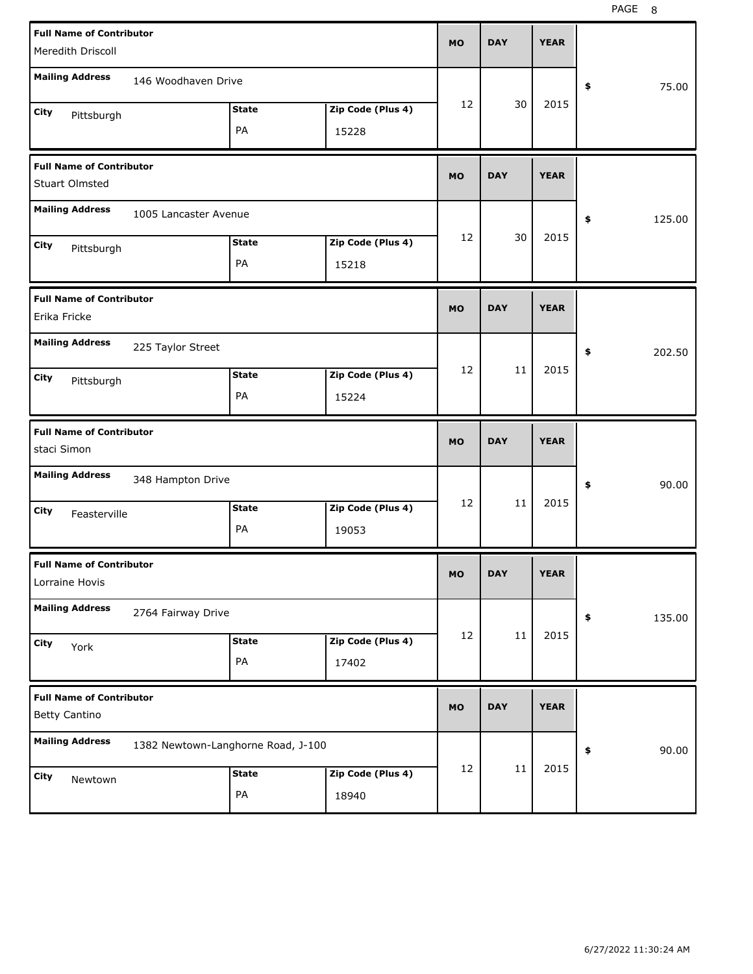PAGE 8

| <b>Full Name of Contributor</b>                         |                                    |                   | <b>MO</b> | <b>DAY</b> | <b>YEAR</b> |                       |
|---------------------------------------------------------|------------------------------------|-------------------|-----------|------------|-------------|-----------------------|
| Meredith Driscoll                                       |                                    |                   |           |            |             |                       |
| <b>Mailing Address</b><br>146 Woodhaven Drive           |                                    |                   |           |            |             | 75.00<br>\$           |
| City<br>Pittsburgh                                      | <b>State</b>                       | Zip Code (Plus 4) | 12        | 30         | 2015        |                       |
|                                                         | PA                                 | 15228             |           |            |             |                       |
| <b>Full Name of Contributor</b><br>Stuart Olmsted       |                                    |                   | <b>MO</b> | <b>DAY</b> | <b>YEAR</b> |                       |
| <b>Mailing Address</b><br>1005 Lancaster Avenue         |                                    |                   |           |            |             | 125.00<br>\$          |
| City                                                    | <b>State</b>                       | Zip Code (Plus 4) | 12        | 30         | 2015        |                       |
| Pittsburgh                                              | PA                                 | 15218             |           |            |             |                       |
| <b>Full Name of Contributor</b><br>Erika Fricke         |                                    |                   | <b>MO</b> | <b>DAY</b> | <b>YEAR</b> |                       |
| <b>Mailing Address</b><br>225 Taylor Street             |                                    |                   |           |            |             | \$<br>202.50          |
| City<br>Pittsburgh                                      | <b>State</b>                       | Zip Code (Plus 4) | 12        | 11         | 2015        |                       |
|                                                         | PA                                 | 15224             |           |            |             |                       |
|                                                         |                                    |                   |           |            |             |                       |
| <b>Full Name of Contributor</b><br>staci Simon          |                                    |                   | <b>MO</b> | <b>DAY</b> | <b>YEAR</b> |                       |
| <b>Mailing Address</b><br>348 Hampton Drive             |                                    |                   |           |            |             | \$<br>90.00           |
| City<br>Feasterville                                    | <b>State</b>                       | Zip Code (Plus 4) | 12        | 11         | 2015        |                       |
|                                                         | PA                                 | 19053             |           |            |             |                       |
| <b>Full Name of Contributor</b><br>Lorraine Hovis       |                                    |                   | МO        | <b>DAY</b> | <b>YEAR</b> |                       |
| <b>Mailing Address</b><br>2764 Fairway Drive            |                                    |                   |           |            |             | $\clubsuit$<br>135.00 |
| City<br>York                                            | <b>State</b>                       | Zip Code (Plus 4) | 12        | 11         | 2015        |                       |
|                                                         | PA                                 | 17402             |           |            |             |                       |
| <b>Full Name of Contributor</b><br><b>Betty Cantino</b> |                                    |                   | <b>MO</b> | <b>DAY</b> | <b>YEAR</b> |                       |
| <b>Mailing Address</b>                                  | 1382 Newtown-Langhorne Road, J-100 |                   |           |            |             | 90.00<br>\$           |
| City<br>Newtown                                         | <b>State</b>                       | Zip Code (Plus 4) | 12        | 11         | 2015        |                       |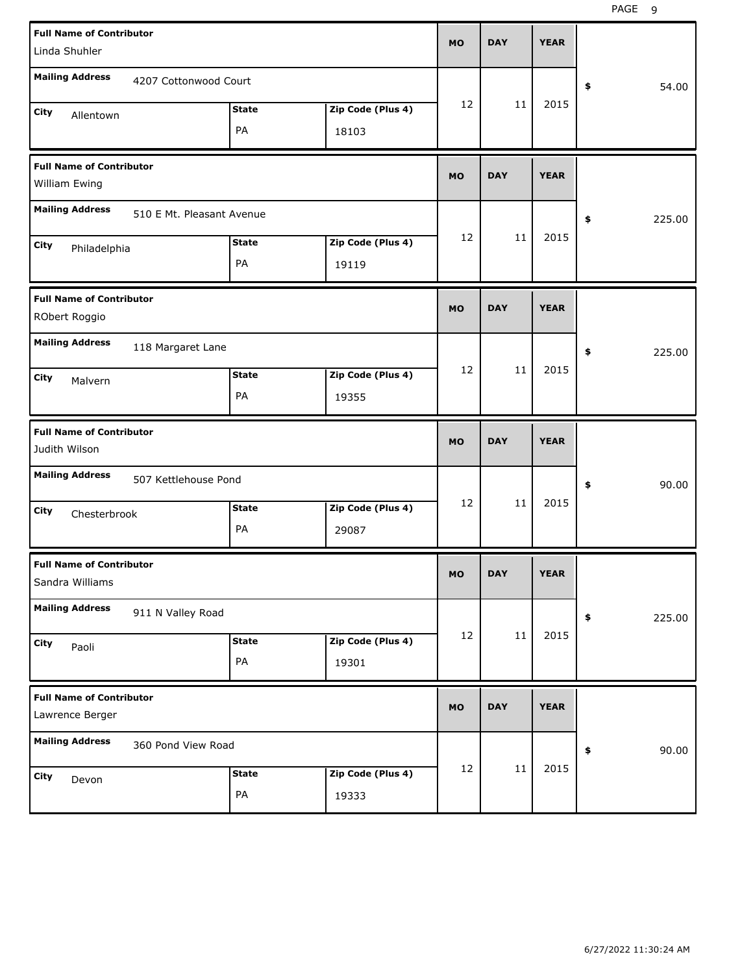PAGE 9

| <b>Full Name of Contributor</b><br>Linda Shuhler    |                    | <b>MO</b>                  | <b>DAY</b> | <b>YEAR</b> |             |              |
|-----------------------------------------------------|--------------------|----------------------------|------------|-------------|-------------|--------------|
| <b>Mailing Address</b><br>4207 Cottonwood Court     |                    |                            |            |             |             | \$<br>54.00  |
| City<br>Allentown                                   | <b>State</b><br>PA | Zip Code (Plus 4)<br>18103 | 12         | 11          | 2015        |              |
| <b>Full Name of Contributor</b><br>William Ewing    |                    |                            | <b>MO</b>  | <b>DAY</b>  | <b>YEAR</b> |              |
| <b>Mailing Address</b><br>510 E Mt. Pleasant Avenue |                    |                            |            |             |             | \$<br>225.00 |
| City<br>Philadelphia                                | <b>State</b><br>PA | Zip Code (Plus 4)<br>19119 | 12         | 11          | 2015        |              |
| <b>Full Name of Contributor</b><br>RObert Roggio    |                    |                            | <b>MO</b>  | <b>DAY</b>  | <b>YEAR</b> |              |
| <b>Mailing Address</b><br>118 Margaret Lane         |                    |                            |            |             |             | \$<br>225.00 |
| City<br>Malvern                                     | <b>State</b><br>PA | Zip Code (Plus 4)<br>19355 | 12         | 11          | 2015        |              |
|                                                     |                    |                            |            |             |             |              |
| <b>Full Name of Contributor</b><br>Judith Wilson    |                    |                            | <b>MO</b>  | <b>DAY</b>  | <b>YEAR</b> |              |
| <b>Mailing Address</b><br>507 Kettlehouse Pond      |                    |                            |            |             |             | \$<br>90.00  |
| City<br>Chesterbrook                                | <b>State</b><br>PA | Zip Code (Plus 4)<br>29087 | 12         | 11          | 2015        |              |
| <b>Full Name of Contributor</b><br>Sandra Williams  |                    |                            | <b>MO</b>  | <b>DAY</b>  | <b>YEAR</b> |              |
| <b>Mailing Address</b><br>911 N Valley Road         |                    |                            |            |             |             | \$<br>225.00 |
| City<br>Paoli                                       | <b>State</b><br>PA | Zip Code (Plus 4)<br>19301 | 12         | 11          | 2015        |              |
| <b>Full Name of Contributor</b><br>Lawrence Berger  |                    |                            | <b>MO</b>  | <b>DAY</b>  | <b>YEAR</b> |              |
| <b>Mailing Address</b><br>360 Pond View Road        |                    |                            | 12         | $11\,$      | 2015        | 90.00<br>\$  |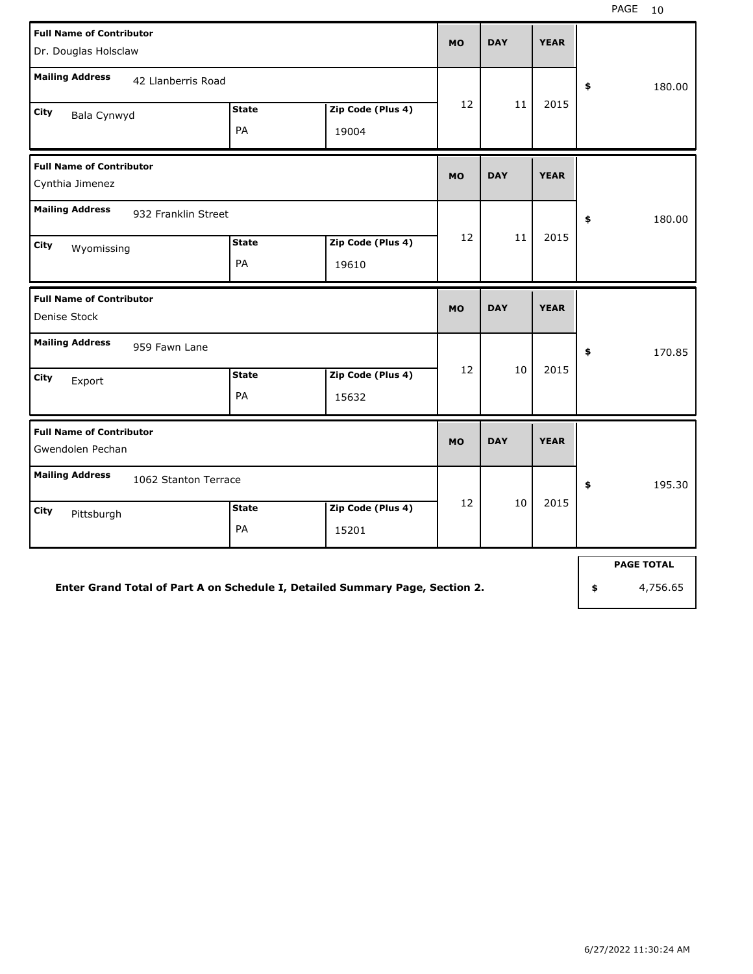| <b>Full Name of Contributor</b><br>Dr. Douglas Holsclaw                    |                    | <b>MO</b>                  | <b>DAY</b>        | <b>YEAR</b> |             |              |
|----------------------------------------------------------------------------|--------------------|----------------------------|-------------------|-------------|-------------|--------------|
| <b>Mailing Address</b><br>42 Llanberris Road                               | <b>State</b>       |                            |                   |             |             | \$<br>180.00 |
| City<br>Bala Cynwyd                                                        | PA                 | Zip Code (Plus 4)<br>19004 | 12                | 11          | 2015        |              |
| <b>Full Name of Contributor</b><br>Cynthia Jimenez                         |                    |                            | <b>MO</b>         | <b>DAY</b>  | <b>YEAR</b> |              |
| <b>Mailing Address</b><br>932 Franklin Street<br><b>City</b><br>Wyomissing | <b>State</b><br>PA | Zip Code (Plus 4)<br>19610 | $12 \overline{ }$ | 11          | 2015        | \$<br>180.00 |
| <b>Full Name of Contributor</b><br>Denise Stock                            |                    |                            | <b>MO</b>         | <b>DAY</b>  | <b>YEAR</b> |              |
| <b>Mailing Address</b><br>959 Fawn Lane                                    |                    |                            |                   |             |             | \$<br>170.85 |
| City<br>Export                                                             | <b>State</b><br>PA | Zip Code (Plus 4)<br>15632 | 12                | 10          | 2015        |              |
| <b>Full Name of Contributor</b><br>Gwendolen Pechan                        |                    |                            | <b>MO</b>         | <b>DAY</b>  | <b>YEAR</b> |              |
| <b>Mailing Address</b><br>1062 Stanton Terrace                             |                    |                            |                   |             |             | \$<br>195.30 |
| <b>City</b><br>Pittsburgh                                                  | <b>State</b><br>PA | Zip Code (Plus 4)<br>15201 | 12                | 10          | 2015        |              |
|                                                                            |                    |                            |                   |             |             |              |

**Enter Grand Total of Part A on Schedule I, Detailed Summary Page, Section 2.**

**PAGE TOTAL**

**\$** 4,756.65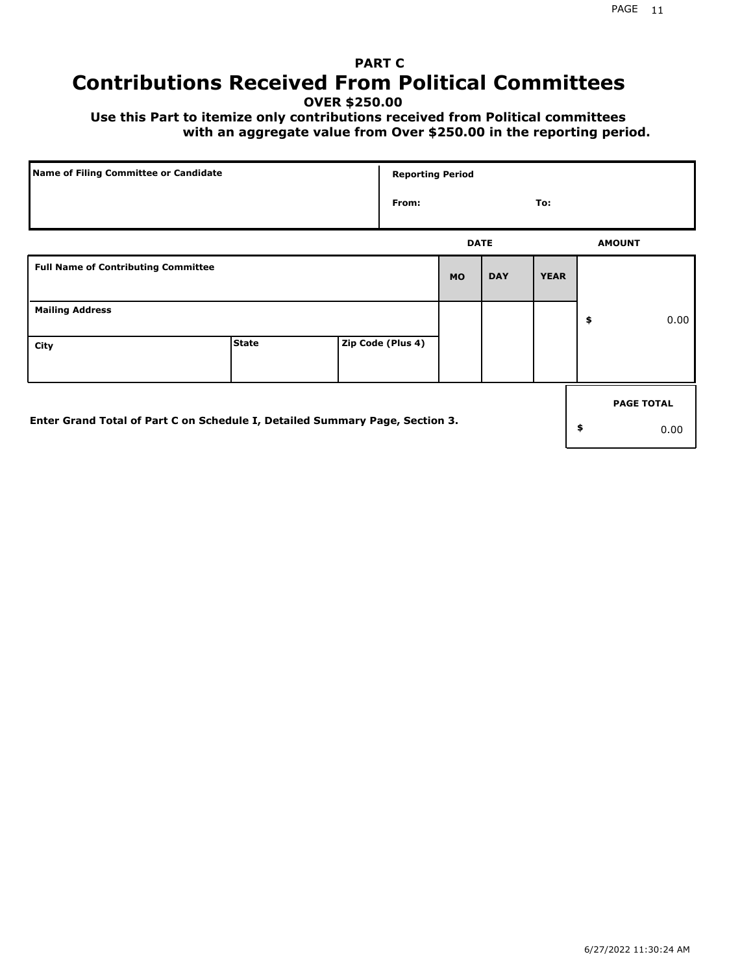# **PART C Contributions Received From Political Committees**

**OVER \$250.00**

 **Use this Part to itemize only contributions received from Political committees with an aggregate value from Over \$250.00 in the reporting period.**

| Name of Filing Committee or Candidate                                        |              |  |                   | <b>Reporting Period</b> |            |             |    |                   |
|------------------------------------------------------------------------------|--------------|--|-------------------|-------------------------|------------|-------------|----|-------------------|
|                                                                              |              |  | From:             |                         |            | To:         |    |                   |
|                                                                              |              |  |                   | <b>DATE</b>             |            |             |    | <b>AMOUNT</b>     |
| <b>Full Name of Contributing Committee</b>                                   |              |  |                   | <b>MO</b>               | <b>DAY</b> | <b>YEAR</b> |    |                   |
| <b>Mailing Address</b>                                                       |              |  |                   |                         |            |             | \$ | 0.00              |
| City                                                                         | <b>State</b> |  | Zip Code (Plus 4) |                         |            |             |    |                   |
|                                                                              |              |  |                   |                         |            |             |    | <b>PAGE TOTAL</b> |
| Enter Grand Total of Part C on Schedule I, Detailed Summary Page, Section 3. |              |  |                   |                         |            |             | \$ | 0.00              |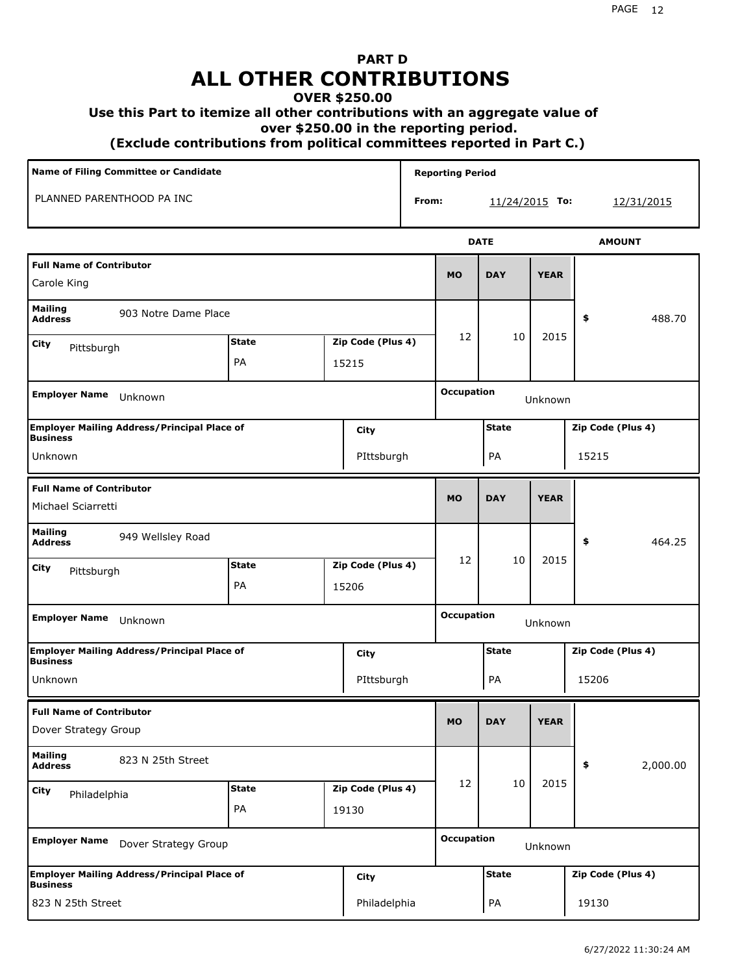# **PART D ALL OTHER CONTRIBUTIONS**

#### **OVER \$250.00**

#### **Use this Part to itemize all other contributions with an aggregate value of**

 **over \$250.00 in the reporting period.**

 **(Exclude contributions from political committees reported in Part C.)** 

| Name of Filing Committee or Candidate                                 |              |  |                   |       | <b>Reporting Period</b>      |                  |                   |                   |  |  |
|-----------------------------------------------------------------------|--------------|--|-------------------|-------|------------------------------|------------------|-------------------|-------------------|--|--|
| PLANNED PARENTHOOD PA INC                                             |              |  |                   | From: |                              | $11/24/2015$ To: |                   | 12/31/2015        |  |  |
|                                                                       |              |  |                   |       |                              | <b>DATE</b>      |                   | <b>AMOUNT</b>     |  |  |
| <b>Full Name of Contributor</b><br>Carole King                        |              |  |                   |       | <b>MO</b>                    | <b>DAY</b>       | <b>YEAR</b>       |                   |  |  |
| <b>Mailing</b><br>903 Notre Dame Place<br><b>Address</b>              |              |  |                   |       |                              |                  |                   | 488.70<br>\$      |  |  |
| City<br>Pittsburgh                                                    | <b>State</b> |  | Zip Code (Plus 4) |       | 12                           | 10               | 2015              |                   |  |  |
|                                                                       | PA<br>15215  |  |                   |       |                              |                  |                   |                   |  |  |
| <b>Employer Name</b><br>Unknown                                       |              |  |                   |       | <b>Occupation</b>            |                  | Unknown           |                   |  |  |
| <b>Employer Mailing Address/Principal Place of</b><br><b>Business</b> |              |  | City              |       |                              | <b>State</b>     |                   | Zip Code (Plus 4) |  |  |
| Unknown                                                               |              |  | PIttsburgh        |       |                              | PA               |                   | 15215             |  |  |
| <b>Full Name of Contributor</b><br>Michael Sciarretti                 |              |  |                   |       | <b>MO</b>                    | <b>DAY</b>       | <b>YEAR</b>       |                   |  |  |
| <b>Mailing</b><br>949 Wellsley Road<br><b>Address</b>                 |              |  |                   |       |                              |                  |                   | \$<br>464.25      |  |  |
| City<br>Pittsburgh                                                    | <b>State</b> |  | Zip Code (Plus 4) |       | 12                           | 10               | 2015              |                   |  |  |
|                                                                       | PA           |  | 15206             |       |                              |                  |                   |                   |  |  |
| <b>Employer Name</b><br>Unknown                                       |              |  |                   |       | <b>Occupation</b><br>Unknown |                  |                   |                   |  |  |
| <b>Employer Mailing Address/Principal Place of</b><br><b>Business</b> |              |  | City              |       | <b>State</b>                 |                  |                   | Zip Code (Plus 4) |  |  |
| Unknown                                                               |              |  | PIttsburgh        |       |                              | PA               |                   | 15206             |  |  |
| <b>Full Name of Contributor</b><br>Dover Strategy Group               |              |  |                   |       | <b>MO</b>                    | <b>DAY</b>       | <b>YEAR</b>       |                   |  |  |
| <b>Mailing</b><br>823 N 25th Street<br><b>Address</b>                 |              |  |                   |       |                              |                  |                   | \$<br>2,000.00    |  |  |
| <b>City</b><br>Philadelphia                                           | <b>State</b> |  | Zip Code (Plus 4) |       | 12                           | $10\,$           | 2015              |                   |  |  |
|                                                                       | PA           |  | 19130             |       |                              |                  |                   |                   |  |  |
| <b>Employer Name</b><br>Dover Strategy Group                          |              |  |                   |       | <b>Occupation</b>            |                  | Unknown           |                   |  |  |
| <b>Employer Mailing Address/Principal Place of</b><br><b>Business</b> |              |  | <b>City</b>       |       | <b>State</b>                 |                  | Zip Code (Plus 4) |                   |  |  |
| 823 N 25th Street                                                     |              |  | Philadelphia      |       |                              | PA               |                   | 19130             |  |  |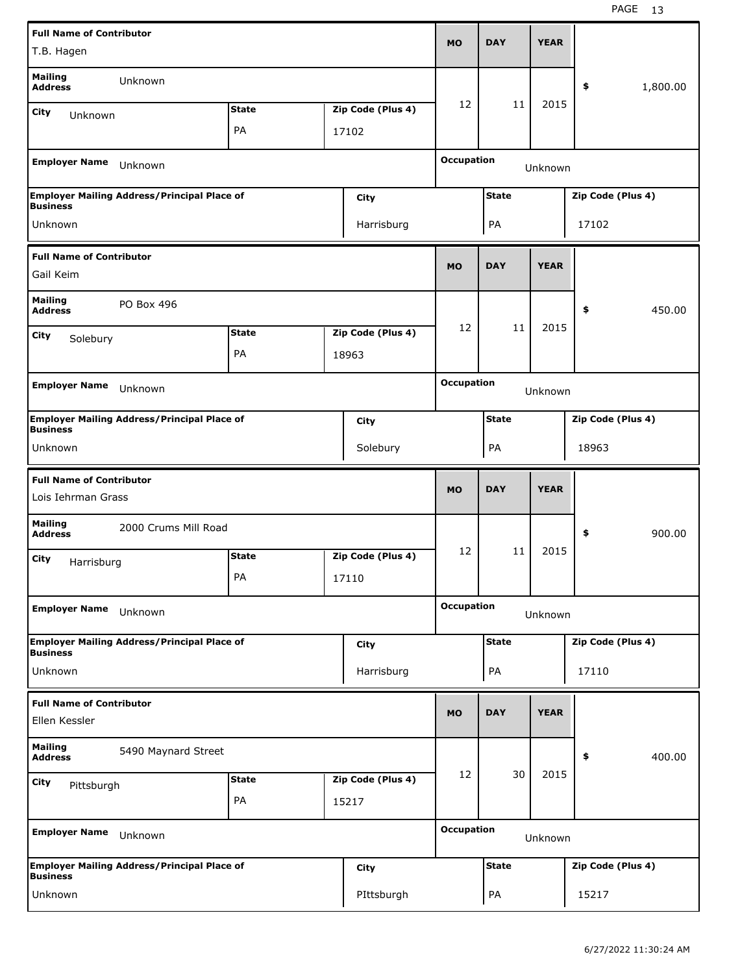| <b>Full Name of Contributor</b>                       |                                                    |              |                   |                   | <b>DAY</b>   | <b>YEAR</b> |                   |          |
|-------------------------------------------------------|----------------------------------------------------|--------------|-------------------|-------------------|--------------|-------------|-------------------|----------|
| T.B. Hagen                                            |                                                    |              |                   | <b>MO</b>         |              |             |                   |          |
| <b>Mailing</b><br><b>Address</b>                      | Unknown                                            |              |                   |                   |              |             | \$                | 1,800.00 |
| City<br>Unknown                                       |                                                    | <b>State</b> | Zip Code (Plus 4) | 12                | 11           | 2015        |                   |          |
|                                                       |                                                    | <b>PA</b>    | 17102             |                   |              |             |                   |          |
| <b>Employer Name</b>                                  | Unknown                                            |              |                   | <b>Occupation</b> |              | Unknown     |                   |          |
| <b>Business</b>                                       | <b>Employer Mailing Address/Principal Place of</b> |              | City              |                   | <b>State</b> |             | Zip Code (Plus 4) |          |
| Unknown                                               |                                                    |              | Harrisburg        |                   | PA           |             | 17102             |          |
| <b>Full Name of Contributor</b>                       |                                                    |              |                   | <b>MO</b>         | <b>DAY</b>   | <b>YEAR</b> |                   |          |
| Gail Keim                                             |                                                    |              |                   |                   |              |             |                   |          |
| <b>Mailing</b><br><b>Address</b>                      | PO Box 496                                         |              |                   |                   |              |             | \$                | 450.00   |
| City<br>Solebury                                      |                                                    | <b>State</b> | Zip Code (Plus 4) | 12                | 11           | 2015        |                   |          |
|                                                       |                                                    | <b>PA</b>    | 18963             |                   |              |             |                   |          |
|                                                       |                                                    |              |                   | <b>Occupation</b> |              |             |                   |          |
| <b>Employer Name</b>                                  | Unknown                                            |              |                   |                   |              | Unknown     |                   |          |
| <b>Business</b>                                       | <b>Employer Mailing Address/Principal Place of</b> |              | City              |                   | <b>State</b> |             | Zip Code (Plus 4) |          |
| Unknown                                               |                                                    |              | Solebury          |                   | PA           |             | 18963             |          |
|                                                       |                                                    |              |                   |                   |              |             |                   |          |
|                                                       |                                                    |              |                   |                   |              |             |                   |          |
| <b>Full Name of Contributor</b><br>Lois Iehrman Grass |                                                    |              |                   | <b>MO</b>         | <b>DAY</b>   | <b>YEAR</b> |                   |          |
| <b>Mailing</b><br><b>Address</b>                      | 2000 Crums Mill Road                               |              |                   |                   |              |             | \$                | 900.00   |
| City                                                  |                                                    | <b>State</b> | Zip Code (Plus 4) | 12                | 11           | 2015        |                   |          |
| Harrisburg                                            |                                                    | PA           | 17110             |                   |              |             |                   |          |
|                                                       |                                                    |              |                   |                   |              |             |                   |          |
| <b>Employer Name</b>                                  | Unknown                                            |              |                   | <b>Occupation</b> |              | Unknown     |                   |          |
|                                                       | <b>Employer Mailing Address/Principal Place of</b> |              | City              |                   | <b>State</b> |             | Zip Code (Plus 4) |          |
| <b>Business</b><br>Unknown                            |                                                    |              | Harrisburg        |                   | PA           |             | 17110             |          |
| <b>Full Name of Contributor</b>                       |                                                    |              |                   |                   |              |             |                   |          |
| Ellen Kessler                                         |                                                    |              |                   | <b>MO</b>         | <b>DAY</b>   | <b>YEAR</b> |                   |          |
| Mailing<br><b>Address</b>                             | 5490 Maynard Street                                |              |                   |                   |              |             | \$                | 400.00   |
| City                                                  |                                                    | <b>State</b> | Zip Code (Plus 4) | 12                | 30           | 2015        |                   |          |
| Pittsburgh                                            |                                                    | PA           | 15217             |                   |              |             |                   |          |
| <b>Employer Name</b>                                  | Unknown                                            |              |                   | <b>Occupation</b> |              | Unknown     |                   |          |
| <b>Business</b>                                       | <b>Employer Mailing Address/Principal Place of</b> |              | City              |                   | <b>State</b> |             | Zip Code (Plus 4) |          |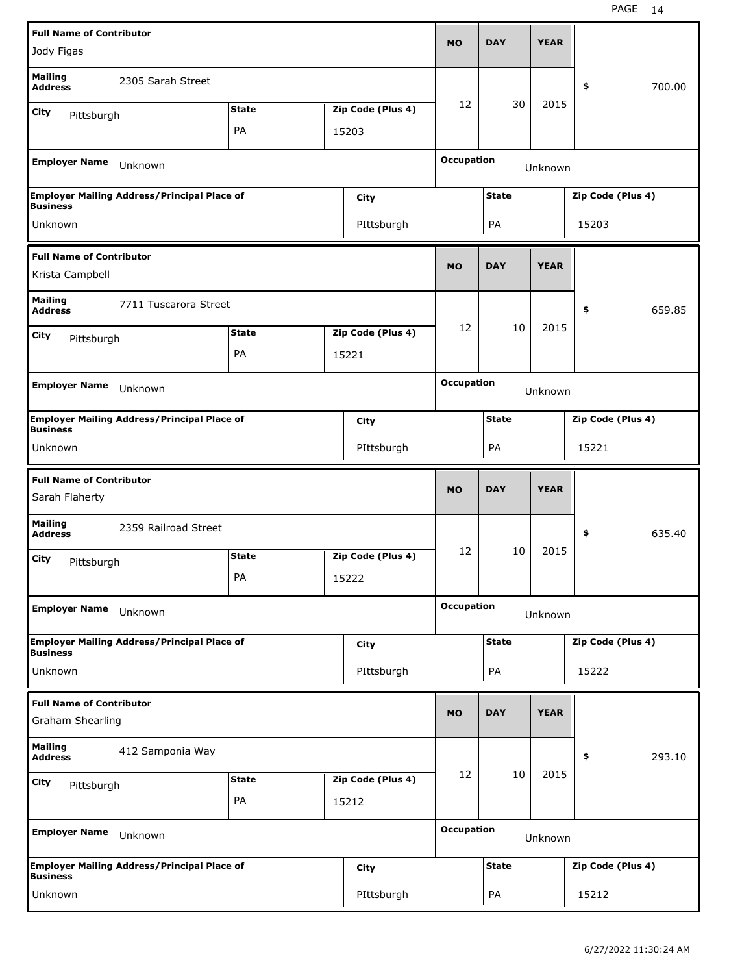| <b>Full Name of Contributor</b>                     |                                                    |              |                           |                   |              | <b>YEAR</b> |                   |        |
|-----------------------------------------------------|----------------------------------------------------|--------------|---------------------------|-------------------|--------------|-------------|-------------------|--------|
| Jody Figas                                          |                                                    |              |                           | <b>MO</b>         | <b>DAY</b>   |             |                   |        |
| <b>Mailing</b><br><b>Address</b>                    | 2305 Sarah Street                                  |              |                           |                   |              |             | \$                | 700.00 |
| City<br>Pittsburgh                                  |                                                    | <b>State</b> | Zip Code (Plus 4)         | 12                | 30           | 2015        |                   |        |
|                                                     |                                                    | PA           | 15203                     |                   |              |             |                   |        |
| <b>Employer Name</b>                                | Unknown                                            |              |                           | <b>Occupation</b> |              | Unknown     |                   |        |
|                                                     | <b>Employer Mailing Address/Principal Place of</b> |              | City                      |                   | <b>State</b> |             | Zip Code (Plus 4) |        |
| <b>Business</b><br>Unknown                          |                                                    |              | PIttsburgh                |                   | PA           |             | 15203             |        |
|                                                     |                                                    |              |                           |                   |              |             |                   |        |
| <b>Full Name of Contributor</b><br>Krista Campbell  |                                                    |              |                           | <b>MO</b>         | <b>DAY</b>   | <b>YEAR</b> |                   |        |
| <b>Mailing</b><br><b>Address</b>                    | 7711 Tuscarora Street                              |              |                           |                   |              |             | \$                | 659.85 |
| City<br>Pittsburgh                                  |                                                    | <b>State</b> | Zip Code (Plus 4)         | 12                | 10           | 2015        |                   |        |
|                                                     |                                                    | PA           | 15221                     |                   |              |             |                   |        |
|                                                     |                                                    |              |                           | <b>Occupation</b> |              |             |                   |        |
| <b>Employer Name</b>                                | Unknown                                            |              |                           |                   |              | Unknown     |                   |        |
|                                                     | <b>Employer Mailing Address/Principal Place of</b> |              | City                      |                   | <b>State</b> |             | Zip Code (Plus 4) |        |
| <b>Business</b><br>Unknown                          |                                                    |              | PIttsburgh                |                   | PA           |             | 15221             |        |
|                                                     |                                                    |              |                           |                   |              |             |                   |        |
|                                                     |                                                    |              |                           |                   |              |             |                   |        |
| <b>Full Name of Contributor</b><br>Sarah Flaherty   |                                                    |              |                           | <b>MO</b>         | <b>DAY</b>   | <b>YEAR</b> |                   |        |
| <b>Mailing</b><br><b>Address</b>                    | 2359 Railroad Street                               |              |                           |                   |              |             | \$                | 635.40 |
| City                                                |                                                    | <b>State</b> | Zip Code (Plus 4)         | 12                | 10           | 2015        |                   |        |
| Pittsburgh                                          |                                                    | PA           | 15222                     |                   |              |             |                   |        |
| <b>Employer Name</b>                                | Unknown                                            |              |                           | <b>Occupation</b> |              | Unknown     |                   |        |
|                                                     | <b>Employer Mailing Address/Principal Place of</b> |              |                           |                   | <b>State</b> |             | Zip Code (Plus 4) |        |
| <b>Business</b>                                     |                                                    |              | City                      |                   |              |             |                   |        |
| Unknown                                             |                                                    |              | PIttsburgh                |                   | PA           |             | 15222             |        |
| <b>Full Name of Contributor</b><br>Graham Shearling |                                                    |              |                           | <b>MO</b>         | <b>DAY</b>   | <b>YEAR</b> |                   |        |
| <b>Mailing</b><br><b>Address</b>                    | 412 Samponia Way                                   |              |                           |                   |              |             | \$                | 293.10 |
| City                                                |                                                    | <b>State</b> | Zip Code (Plus 4)         | 12                | 10           | 2015        |                   |        |
| Pittsburgh                                          |                                                    | PA           | 15212                     |                   |              |             |                   |        |
| <b>Employer Name</b>                                | Unknown                                            |              |                           | <b>Occupation</b> |              | Unknown     |                   |        |
|                                                     | <b>Employer Mailing Address/Principal Place of</b> |              |                           |                   | <b>State</b> |             | Zip Code (Plus 4) |        |
| <b>Business</b><br>Unknown                          |                                                    |              | <b>City</b><br>PIttsburgh |                   | PA           |             | 15212             |        |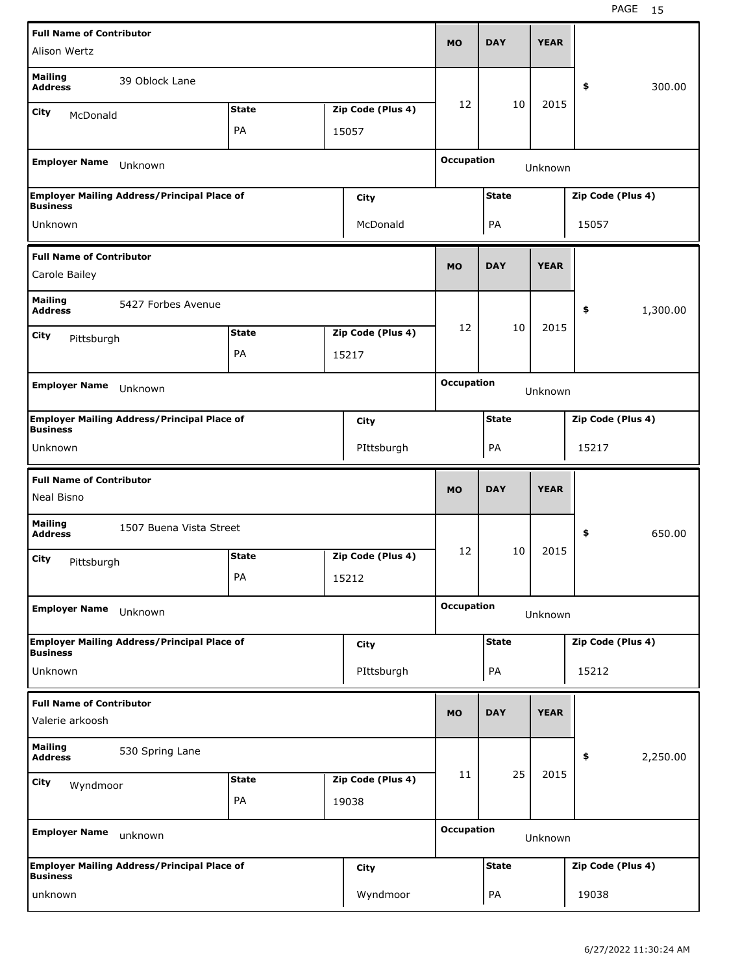| <b>Full Name of Contributor</b>                    |                                                    |              |                   | <b>MO</b>         | <b>DAY</b>   | <b>YEAR</b> |                   |          |
|----------------------------------------------------|----------------------------------------------------|--------------|-------------------|-------------------|--------------|-------------|-------------------|----------|
| Alison Wertz                                       |                                                    |              |                   |                   |              |             |                   |          |
| <b>Mailing</b><br><b>Address</b>                   | 39 Oblock Lane                                     |              |                   |                   |              |             | \$                | 300.00   |
| City<br>McDonald                                   |                                                    | <b>State</b> | Zip Code (Plus 4) | 12                | 10           | 2015        |                   |          |
|                                                    |                                                    | PA           | 15057             |                   |              |             |                   |          |
| <b>Employer Name</b>                               | Unknown                                            |              |                   | <b>Occupation</b> |              | Unknown     |                   |          |
|                                                    | <b>Employer Mailing Address/Principal Place of</b> |              | City              |                   | <b>State</b> |             | Zip Code (Plus 4) |          |
| <b>Business</b><br>Unknown                         |                                                    |              | McDonald          |                   |              |             | 15057             |          |
|                                                    |                                                    |              |                   |                   | PA           |             |                   |          |
| <b>Full Name of Contributor</b><br>Carole Bailey   |                                                    |              |                   | <b>MO</b>         | <b>DAY</b>   | <b>YEAR</b> |                   |          |
| <b>Mailing</b><br><b>Address</b>                   | 5427 Forbes Avenue                                 |              |                   |                   |              |             | \$                | 1,300.00 |
| City                                               |                                                    | <b>State</b> | Zip Code (Plus 4) | 12                | 10           | 2015        |                   |          |
| Pittsburgh                                         |                                                    | PA           | 15217             |                   |              |             |                   |          |
|                                                    |                                                    |              |                   |                   |              |             |                   |          |
| <b>Employer Name</b>                               | Unknown                                            |              |                   | <b>Occupation</b> |              | Unknown     |                   |          |
| <b>Business</b>                                    | <b>Employer Mailing Address/Principal Place of</b> |              | City              |                   | <b>State</b> |             | Zip Code (Plus 4) |          |
| Unknown                                            |                                                    |              | PIttsburgh        |                   | PA           |             | 15217             |          |
|                                                    |                                                    |              |                   |                   |              |             |                   |          |
| <b>Full Name of Contributor</b><br>Neal Bisno      |                                                    |              |                   | <b>MO</b>         | <b>DAY</b>   | <b>YEAR</b> |                   |          |
| <b>Mailing</b><br><b>Address</b>                   | 1507 Buena Vista Street                            |              |                   |                   |              |             | \$                | 650.00   |
|                                                    |                                                    | <b>State</b> | Zip Code (Plus 4) | 12                | 10           | 2015        |                   |          |
| City<br>Pittsburgh                                 |                                                    | PA           | 15212             |                   |              |             |                   |          |
| <b>Employer Name</b>                               | Unknown                                            |              |                   | <b>Occupation</b> |              | Unknown     |                   |          |
|                                                    |                                                    |              |                   |                   | <b>State</b> |             | Zip Code (Plus 4) |          |
| <b>Business</b>                                    | <b>Employer Mailing Address/Principal Place of</b> |              | City              |                   |              |             |                   |          |
| Unknown                                            |                                                    |              | PIttsburgh        |                   | PA           |             | 15212             |          |
| <b>Full Name of Contributor</b><br>Valerie arkoosh |                                                    |              |                   | <b>MO</b>         | <b>DAY</b>   | <b>YEAR</b> |                   |          |
| <b>Mailing</b><br><b>Address</b>                   | 530 Spring Lane                                    |              |                   |                   |              |             | \$                | 2,250.00 |
|                                                    |                                                    | <b>State</b> | Zip Code (Plus 4) | 11                | 25           | 2015        |                   |          |
| City<br>Wyndmoor                                   |                                                    | PA           | 19038             |                   |              |             |                   |          |
| <b>Employer Name</b>                               | unknown                                            |              |                   | <b>Occupation</b> |              | Unknown     |                   |          |
| <b>Business</b>                                    | <b>Employer Mailing Address/Principal Place of</b> |              | City              |                   | <b>State</b> |             | Zip Code (Plus 4) |          |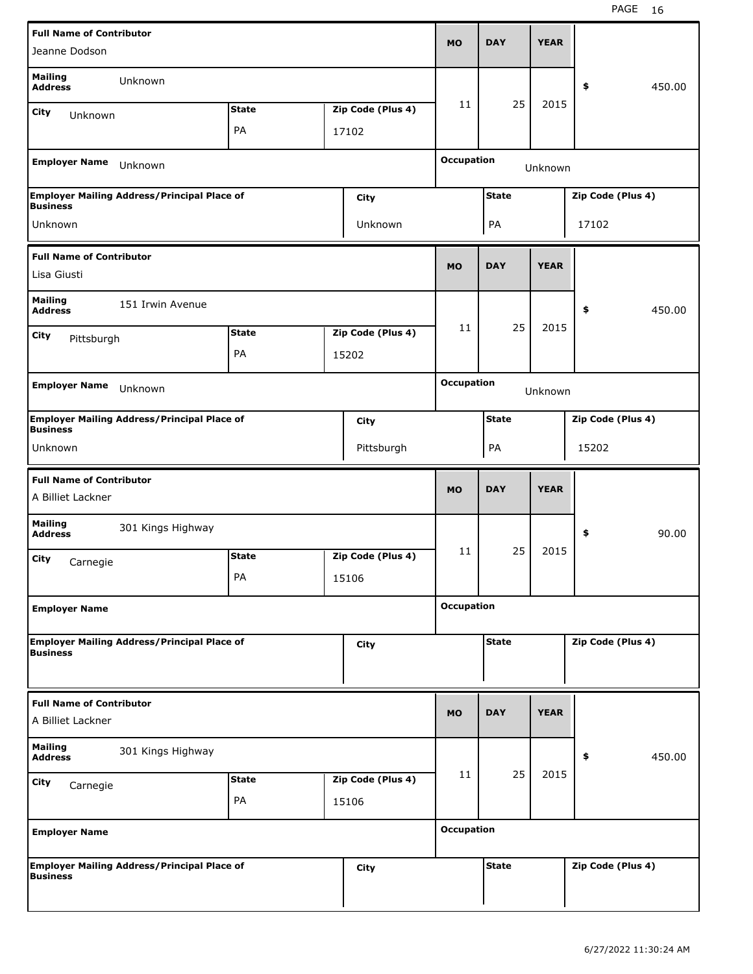| <b>Full Name of Contributor</b>                      |                                                    |              |                   |                   |              |             |                   |        |
|------------------------------------------------------|----------------------------------------------------|--------------|-------------------|-------------------|--------------|-------------|-------------------|--------|
| Jeanne Dodson                                        |                                                    |              |                   | <b>MO</b>         | <b>DAY</b>   | <b>YEAR</b> |                   |        |
| <b>Mailing</b><br><b>Address</b>                     | Unknown                                            |              |                   |                   |              |             | \$                | 450.00 |
| City<br>Unknown                                      |                                                    | <b>State</b> | Zip Code (Plus 4) | 11                | 25           | 2015        |                   |        |
|                                                      |                                                    | PA           | 17102             |                   |              |             |                   |        |
| <b>Employer Name</b>                                 | Unknown                                            |              |                   | <b>Occupation</b> |              | Unknown     |                   |        |
| <b>Business</b>                                      | <b>Employer Mailing Address/Principal Place of</b> |              | <b>City</b>       |                   | <b>State</b> |             | Zip Code (Plus 4) |        |
| Unknown                                              |                                                    |              | Unknown           |                   | PA           |             | 17102             |        |
| <b>Full Name of Contributor</b>                      |                                                    |              |                   | <b>MO</b>         | <b>DAY</b>   | <b>YEAR</b> |                   |        |
| Lisa Giusti                                          |                                                    |              |                   |                   |              |             |                   |        |
| <b>Mailing</b><br><b>Address</b>                     | 151 Irwin Avenue                                   |              |                   |                   |              |             | \$                | 450.00 |
| City<br>Pittsburgh                                   |                                                    | <b>State</b> | Zip Code (Plus 4) | 11                | 25           | 2015        |                   |        |
|                                                      |                                                    | PA           | 15202             |                   |              |             |                   |        |
|                                                      |                                                    |              |                   | <b>Occupation</b> |              |             |                   |        |
| <b>Employer Name</b>                                 | Unknown                                            |              |                   |                   |              | Unknown     |                   |        |
| <b>Business</b>                                      | <b>Employer Mailing Address/Principal Place of</b> |              | <b>City</b>       |                   | <b>State</b> |             | Zip Code (Plus 4) |        |
| Unknown                                              |                                                    |              | Pittsburgh        |                   | PA           |             | 15202             |        |
|                                                      |                                                    |              |                   |                   |              |             |                   |        |
|                                                      |                                                    |              |                   |                   |              |             |                   |        |
| <b>Full Name of Contributor</b><br>A Billiet Lackner |                                                    |              |                   | <b>MO</b>         | <b>DAY</b>   | <b>YEAR</b> |                   |        |
| <b>Mailing</b><br><b>Address</b>                     | 301 Kings Highway                                  |              |                   |                   |              |             | \$                | 90.00  |
| City                                                 |                                                    | <b>State</b> | Zip Code (Plus 4) | 11                | 25           | 2015        |                   |        |
| Carnegie                                             |                                                    | PA           | 15106             |                   |              |             |                   |        |
| <b>Employer Name</b>                                 |                                                    |              |                   | <b>Occupation</b> |              |             |                   |        |
|                                                      | <b>Employer Mailing Address/Principal Place of</b> |              |                   |                   | <b>State</b> |             | Zip Code (Plus 4) |        |
| <b>Business</b>                                      |                                                    |              | <b>City</b>       |                   |              |             |                   |        |
| <b>Full Name of Contributor</b>                      |                                                    |              |                   |                   |              |             |                   |        |
| A Billiet Lackner                                    |                                                    |              |                   | <b>MO</b>         | <b>DAY</b>   | <b>YEAR</b> |                   |        |
| <b>Mailing</b><br><b>Address</b>                     | 301 Kings Highway                                  |              |                   |                   |              |             | \$                | 450.00 |
| City<br>Carnegie                                     |                                                    | <b>State</b> | Zip Code (Plus 4) | 11                | 25           | 2015        |                   |        |
|                                                      |                                                    | PA           | 15106             |                   |              |             |                   |        |
| <b>Employer Name</b>                                 |                                                    |              |                   | <b>Occupation</b> |              |             |                   |        |
| <b>Business</b>                                      | <b>Employer Mailing Address/Principal Place of</b> |              | <b>City</b>       |                   | <b>State</b> |             | Zip Code (Plus 4) |        |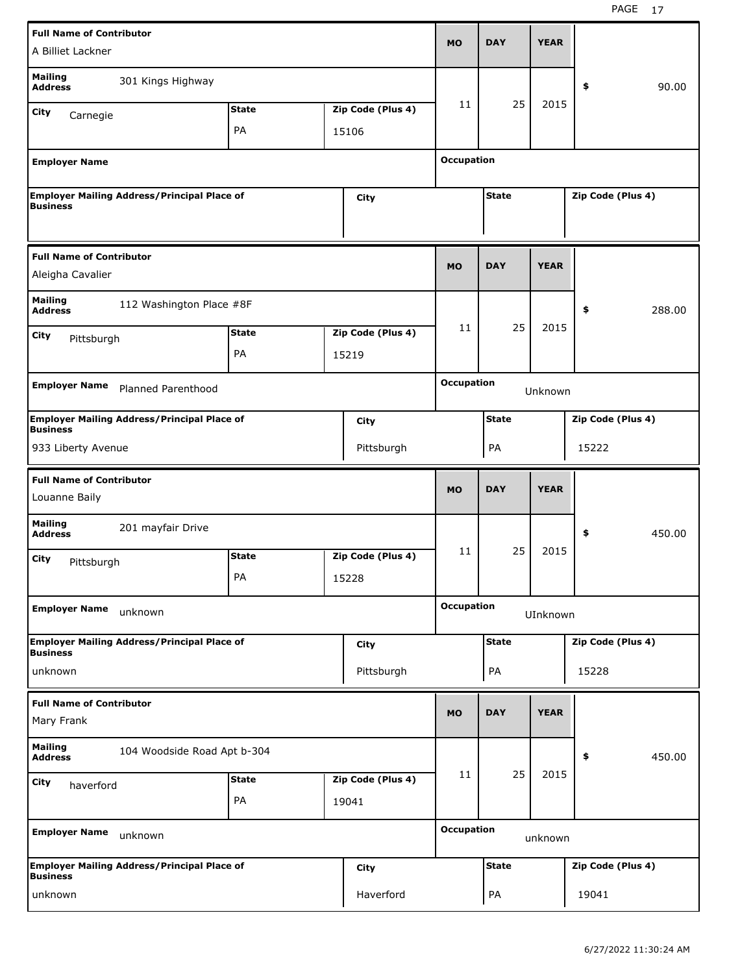| <b>Full Name of Contributor</b>                     |                                                    |              |                   |                   |              |             |                   |        |
|-----------------------------------------------------|----------------------------------------------------|--------------|-------------------|-------------------|--------------|-------------|-------------------|--------|
| A Billiet Lackner                                   |                                                    |              |                   | MO                | <b>DAY</b>   | <b>YEAR</b> |                   |        |
| <b>Mailing</b><br><b>Address</b>                    | 301 Kings Highway                                  |              |                   |                   |              |             | \$                | 90.00  |
| City<br>Carnegie                                    |                                                    | <b>State</b> | Zip Code (Plus 4) | 11                | 25           | 2015        |                   |        |
|                                                     |                                                    | PA           | 15106             |                   |              |             |                   |        |
| <b>Employer Name</b>                                |                                                    |              |                   | <b>Occupation</b> |              |             |                   |        |
| <b>Business</b>                                     | <b>Employer Mailing Address/Principal Place of</b> |              | City              |                   | <b>State</b> |             | Zip Code (Plus 4) |        |
| <b>Full Name of Contributor</b><br>Aleigha Cavalier |                                                    |              |                   | <b>MO</b>         | <b>DAY</b>   | <b>YEAR</b> |                   |        |
| <b>Mailing</b><br><b>Address</b>                    | 112 Washington Place #8F                           |              |                   |                   |              |             | \$                | 288.00 |
| City                                                |                                                    | <b>State</b> | Zip Code (Plus 4) | 11                | 25           | 2015        |                   |        |
| Pittsburgh                                          |                                                    | PA           | 15219             |                   |              |             |                   |        |
| <b>Employer Name</b>                                | <b>Planned Parenthood</b>                          |              |                   | <b>Occupation</b> |              | Unknown     |                   |        |
|                                                     |                                                    |              |                   |                   |              |             |                   |        |
| <b>Business</b>                                     | <b>Employer Mailing Address/Principal Place of</b> |              | City              |                   | <b>State</b> |             | Zip Code (Plus 4) |        |
| 933 Liberty Avenue                                  |                                                    |              | Pittsburgh        |                   | PA           |             | 15222             |        |
|                                                     |                                                    |              |                   |                   |              |             |                   |        |
| <b>Full Name of Contributor</b><br>Louanne Baily    |                                                    |              |                   | <b>MO</b>         | <b>DAY</b>   | <b>YEAR</b> |                   |        |
| <b>Mailing</b><br><b>Address</b>                    | 201 mayfair Drive                                  |              |                   |                   |              |             | \$                | 450.00 |
|                                                     |                                                    | <b>State</b> | Zip Code (Plus 4) | 11                | 25           | 2015        |                   |        |
| City<br>Pittsburgh                                  |                                                    | PA           | 15228             |                   |              |             |                   |        |
| <b>Employer Name</b>                                | unknown                                            |              |                   | <b>Occupation</b> |              | UInknown    |                   |        |
|                                                     | <b>Employer Mailing Address/Principal Place of</b> |              | City              |                   | <b>State</b> |             | Zip Code (Plus 4) |        |
| <b>Business</b><br>unknown                          |                                                    |              | Pittsburgh        |                   | PA           |             | 15228             |        |
| <b>Full Name of Contributor</b><br>Mary Frank       |                                                    |              |                   | <b>MO</b>         | <b>DAY</b>   | <b>YEAR</b> |                   |        |
| <b>Mailing</b><br><b>Address</b>                    | 104 Woodside Road Apt b-304                        |              |                   |                   |              |             | \$                | 450.00 |
|                                                     |                                                    | <b>State</b> | Zip Code (Plus 4) | 11                | 25           | 2015        |                   |        |
| City<br>haverford                                   |                                                    | PA           | 19041             |                   |              |             |                   |        |
| <b>Employer Name</b>                                | unknown                                            |              |                   | <b>Occupation</b> |              | unknown     |                   |        |
| <b>Business</b>                                     | <b>Employer Mailing Address/Principal Place of</b> |              | City              |                   | <b>State</b> |             | Zip Code (Plus 4) |        |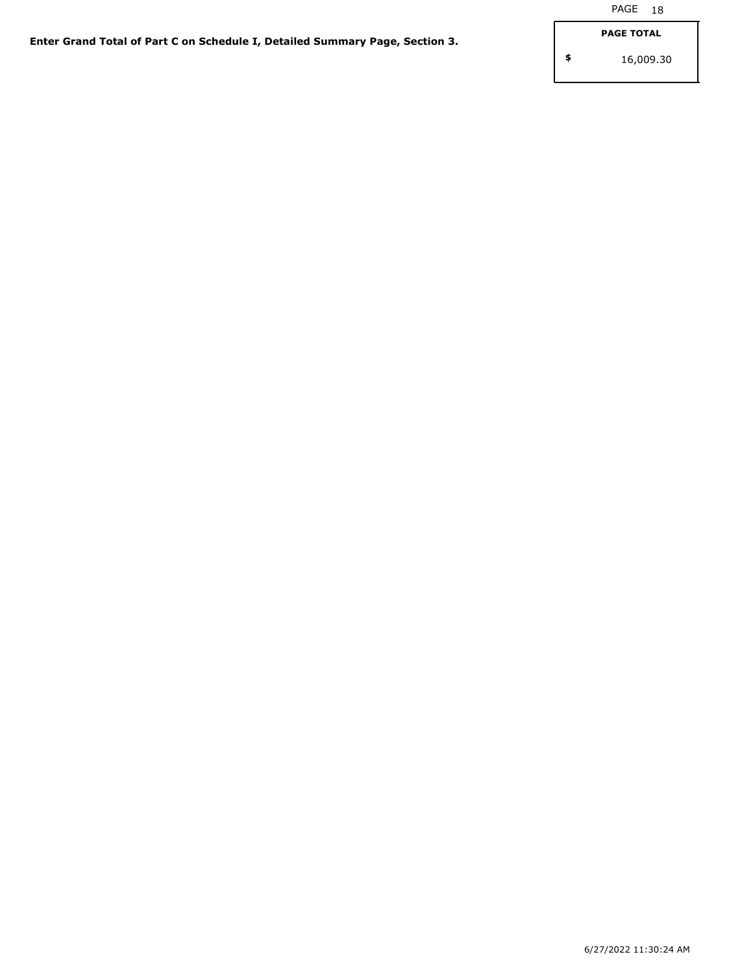**\$**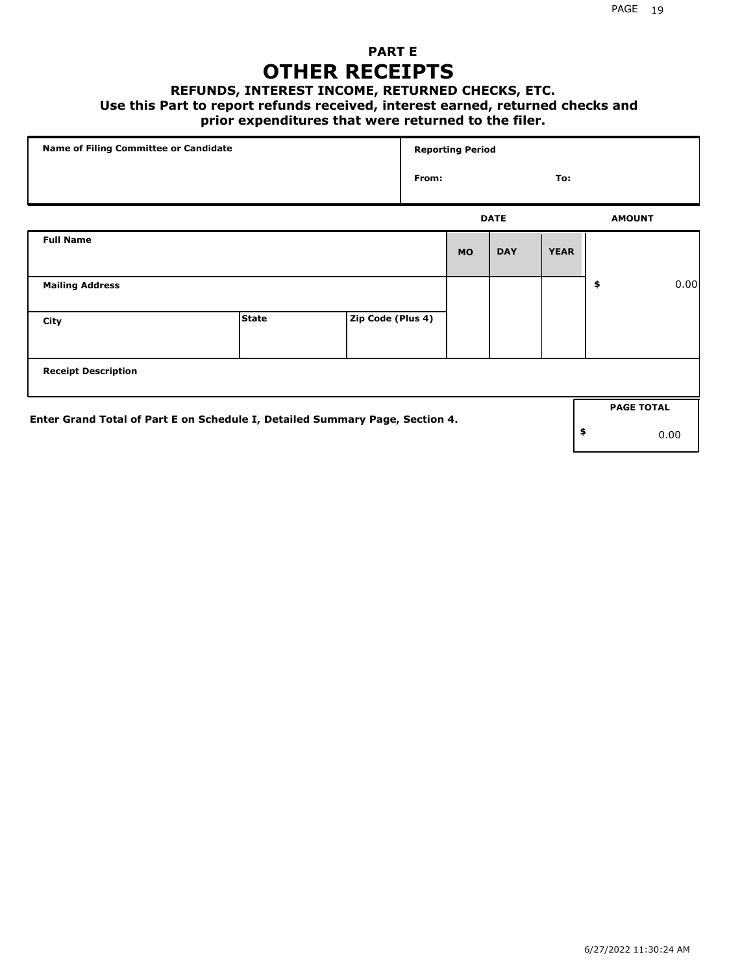### **PART E OTHER RECEIPTS**

#### **REFUNDS, INTEREST INCOME, RETURNED CHECKS, ETC.**

#### **Use this Part to report refunds received, interest earned, returned checks and**

#### **prior expenditures that were returned to the filer.**

| Name of Filing Committee or Candidate                                        |              |                   |       | <b>Reporting Period</b> |             |             |                   |      |
|------------------------------------------------------------------------------|--------------|-------------------|-------|-------------------------|-------------|-------------|-------------------|------|
|                                                                              |              |                   | From: |                         |             | To:         |                   |      |
|                                                                              |              |                   |       |                         | <b>DATE</b> |             | <b>AMOUNT</b>     |      |
| <b>Full Name</b>                                                             |              |                   |       | <b>MO</b>               | <b>DAY</b>  | <b>YEAR</b> |                   |      |
| <b>Mailing Address</b>                                                       |              |                   |       |                         |             |             | \$                | 0.00 |
| City                                                                         | <b>State</b> | Zip Code (Plus 4) |       |                         |             |             |                   |      |
| <b>Receipt Description</b>                                                   |              |                   |       |                         |             |             |                   |      |
| Enter Grand Total of Part E on Schedule I, Detailed Summary Page, Section 4. |              |                   |       |                         |             |             | <b>PAGE TOTAL</b> |      |
|                                                                              |              |                   |       |                         |             |             | \$                | 0.00 |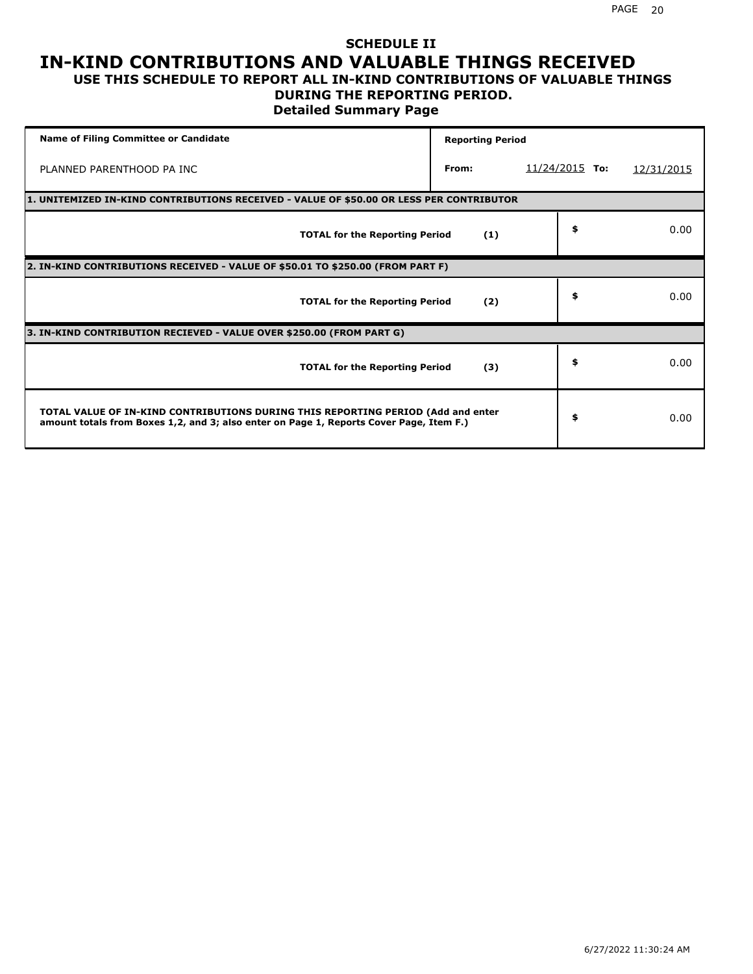#### **SCHEDULE II IN-KIND CONTRIBUTIONS AND VALUABLE THINGS RECEIVED USE THIS SCHEDULE TO REPORT ALL IN-KIND CONTRIBUTIONS OF VALUABLE THINGS**

#### **DURING THE REPORTING PERIOD.**

**Detailed Summary Page**

| <b>Name of Filing Committee or Candidate</b>                                                                                                                                | <b>Reporting Period</b> |                  |            |
|-----------------------------------------------------------------------------------------------------------------------------------------------------------------------------|-------------------------|------------------|------------|
| PLANNED PARENTHOOD PA INC                                                                                                                                                   | From:                   | $11/24/2015$ To: | 12/31/2015 |
| 1. UNITEMIZED IN-KIND CONTRIBUTIONS RECEIVED - VALUE OF \$50.00 OR LESS PER CONTRIBUTOR                                                                                     |                         |                  |            |
| <b>TOTAL for the Reporting Period</b>                                                                                                                                       | (1)                     | \$               | 0.00       |
| 2. IN-KIND CONTRIBUTIONS RECEIVED - VALUE OF \$50.01 TO \$250.00 (FROM PART F)                                                                                              |                         |                  |            |
| <b>TOTAL for the Reporting Period</b>                                                                                                                                       | (2)                     | \$               | 0.00       |
| 3. IN-KIND CONTRIBUTION RECIEVED - VALUE OVER \$250.00 (FROM PART G)                                                                                                        |                         |                  |            |
| <b>TOTAL for the Reporting Period</b>                                                                                                                                       | (3)                     | \$               | 0.00       |
| TOTAL VALUE OF IN-KIND CONTRIBUTIONS DURING THIS REPORTING PERIOD (Add and enter<br>amount totals from Boxes 1,2, and 3; also enter on Page 1, Reports Cover Page, Item F.) |                         | \$               | 0.00       |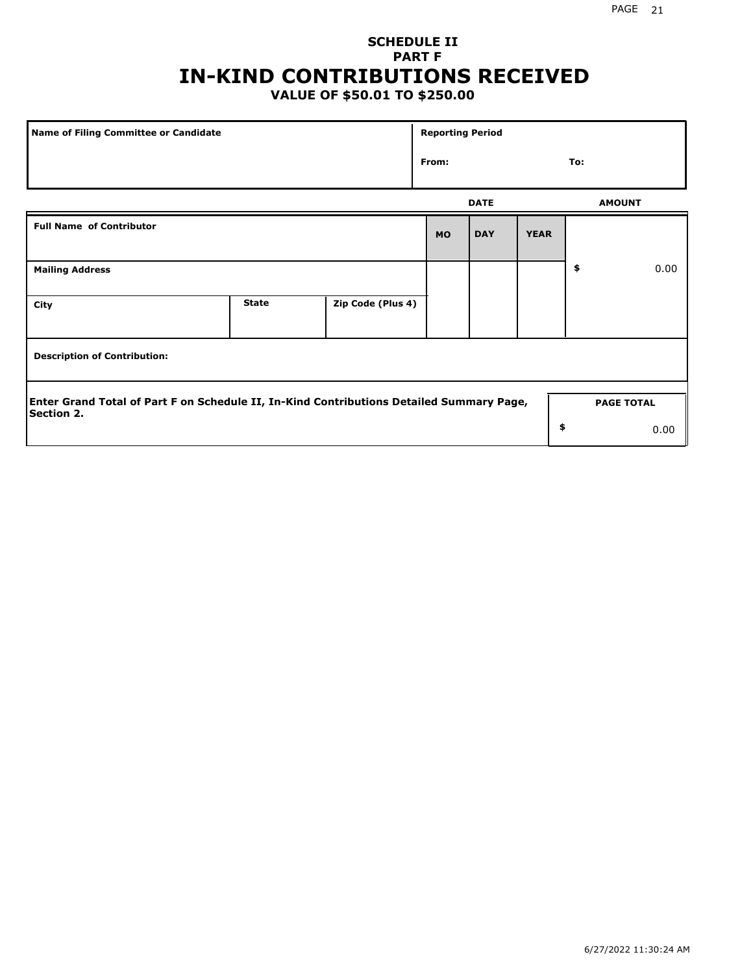# **SCHEDULE II PART F IN-KIND CONTRIBUTIONS RECEIVED**

## **VALUE OF \$50.01 TO \$250.00**

| Name of Filing Committee or Candidate                                                                         |              |                   | <b>Reporting Period</b> |             |             |                   |      |
|---------------------------------------------------------------------------------------------------------------|--------------|-------------------|-------------------------|-------------|-------------|-------------------|------|
|                                                                                                               |              |                   | From:                   |             |             | To:               |      |
|                                                                                                               |              |                   |                         | <b>DATE</b> |             | <b>AMOUNT</b>     |      |
| <b>Full Name of Contributor</b>                                                                               |              |                   | <b>MO</b>               | <b>DAY</b>  | <b>YEAR</b> |                   |      |
| <b>Mailing Address</b>                                                                                        |              |                   |                         |             |             | \$                | 0.00 |
| City                                                                                                          | <b>State</b> | Zip Code (Plus 4) |                         |             |             |                   |      |
| <b>Description of Contribution:</b>                                                                           |              |                   |                         |             |             |                   |      |
| Enter Grand Total of Part F on Schedule II, In-Kind Contributions Detailed Summary Page,<br><b>Section 2.</b> |              |                   |                         |             |             | <b>PAGE TOTAL</b> |      |
|                                                                                                               |              |                   |                         |             | \$          |                   | 0.00 |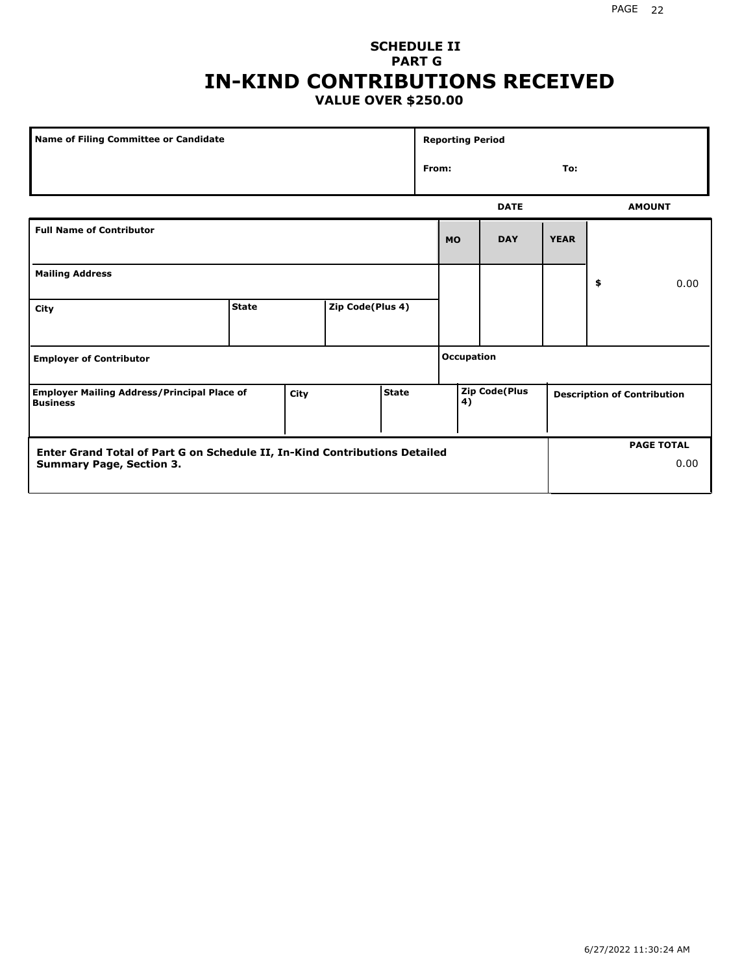#### **SCHEDULE II PART G IN-KIND CONTRIBUTIONS RECEIVED VALUE OVER \$250.00**

| Name of Filing Committee or Candidate                                 |              |      |                  |              |       | <b>Reporting Period</b> |                      |             |                                    |
|-----------------------------------------------------------------------|--------------|------|------------------|--------------|-------|-------------------------|----------------------|-------------|------------------------------------|
|                                                                       |              |      |                  |              | From: |                         |                      | To:         |                                    |
|                                                                       |              |      |                  |              |       |                         | <b>DATE</b>          |             | <b>AMOUNT</b>                      |
| <b>Full Name of Contributor</b>                                       |              |      |                  |              |       | <b>MO</b>               | <b>DAY</b>           | <b>YEAR</b> |                                    |
| <b>Mailing Address</b>                                                |              |      |                  |              |       |                         |                      |             | \$<br>0.00                         |
| City                                                                  | <b>State</b> |      | Zip Code(Plus 4) |              |       |                         |                      |             |                                    |
| <b>Employer of Contributor</b>                                        |              |      |                  |              |       | <b>Occupation</b>       |                      |             |                                    |
| <b>Employer Mailing Address/Principal Place of</b><br><b>Business</b> |              | City |                  | <b>State</b> |       | 4)                      | <b>Zip Code(Plus</b> |             | <b>Description of Contribution</b> |

| Enter Grand Total of Part G on Schedule II, In-Kind Contributions Detailed |  | <b>PAGE TOTAL</b> |
|----------------------------------------------------------------------------|--|-------------------|
| <b>Summary Page, Section 3.</b>                                            |  | 0.00              |
|                                                                            |  |                   |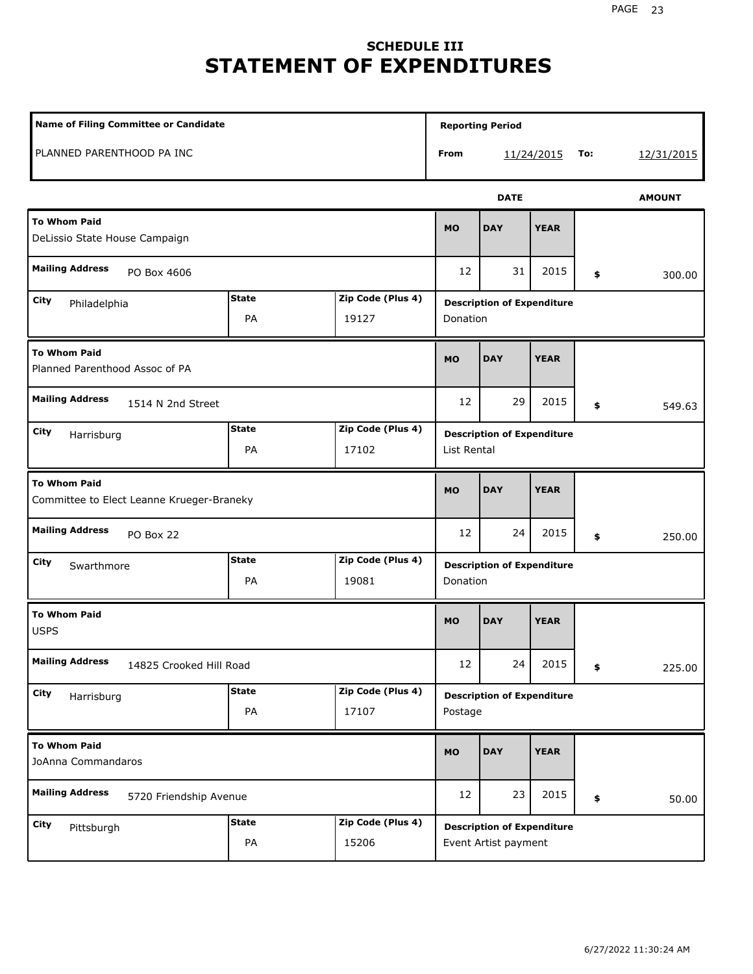# **SCHEDULE III STATEMENT OF EXPENDITURES**

| Name of Filing Committee or Candidate                            |                    |                            |             | <b>Reporting Period</b>                                   |             |     |               |
|------------------------------------------------------------------|--------------------|----------------------------|-------------|-----------------------------------------------------------|-------------|-----|---------------|
| PLANNED PARENTHOOD PA INC                                        |                    |                            | <b>From</b> |                                                           | 11/24/2015  | To: | 12/31/2015    |
|                                                                  |                    |                            |             | <b>DATE</b>                                               |             |     | <b>AMOUNT</b> |
| <b>To Whom Paid</b><br>DeLissio State House Campaign             |                    |                            | <b>MO</b>   | <b>DAY</b>                                                | <b>YEAR</b> |     |               |
| <b>Mailing Address</b><br>PO Box 4606                            |                    |                            | 12          | 31                                                        | 2015        | \$  | 300.00        |
| City<br>Philadelphia                                             | <b>State</b><br>PA | Zip Code (Plus 4)<br>19127 | Donation    | <b>Description of Expenditure</b>                         |             |     |               |
| <b>To Whom Paid</b><br>Planned Parenthood Assoc of PA            |                    |                            | <b>MO</b>   | <b>DAY</b>                                                | <b>YEAR</b> |     |               |
| <b>Mailing Address</b><br>1514 N 2nd Street                      |                    |                            | 12          | 29                                                        | 2015        | \$  | 549.63        |
| City<br>Harrisburg                                               | <b>State</b><br>PA | Zip Code (Plus 4)<br>17102 | List Rental | <b>Description of Expenditure</b>                         |             |     |               |
| <b>To Whom Paid</b><br>Committee to Elect Leanne Krueger-Braneky |                    |                            | <b>MO</b>   | <b>DAY</b>                                                | <b>YEAR</b> |     |               |
| <b>Mailing Address</b><br>PO Box 22                              |                    |                            | 12          | 24                                                        | 2015        | \$  | 250.00        |
| City<br>Swarthmore                                               | <b>State</b><br>PA | Zip Code (Plus 4)<br>19081 | Donation    | <b>Description of Expenditure</b>                         |             |     |               |
| <b>To Whom Paid</b><br><b>USPS</b>                               |                    |                            | <b>MO</b>   | <b>DAY</b>                                                | <b>YEAR</b> |     |               |
| <b>Mailing Address</b><br>14825 Crooked Hill Road                |                    |                            | 12          | 24                                                        | 2015        | \$  | 225.00        |
| City<br>Harrisburg                                               | <b>State</b><br>PA | Zip Code (Plus 4)<br>17107 | Postage     | <b>Description of Expenditure</b>                         |             |     |               |
| <b>To Whom Paid</b><br>JoAnna Commandaros                        |                    |                            | MO          | <b>DAY</b>                                                | <b>YEAR</b> |     |               |
| <b>Mailing Address</b><br>5720 Friendship Avenue                 |                    |                            | 12          | 23                                                        | 2015        | \$  | 50.00         |
| <b>City</b><br>Pittsburgh                                        | <b>State</b><br>PA | Zip Code (Plus 4)<br>15206 |             | <b>Description of Expenditure</b><br>Event Artist payment |             |     |               |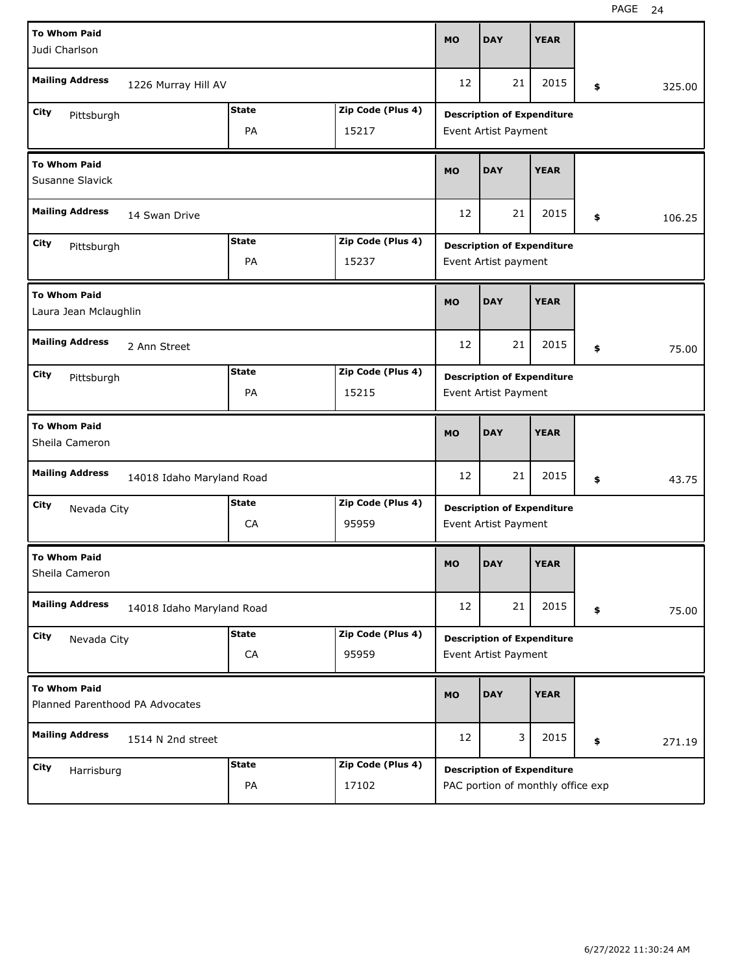| <b>To Whom Paid</b>                                    |                           |              |                   | <b>MO</b> | <b>DAY</b>                        | <b>YEAR</b> |              |
|--------------------------------------------------------|---------------------------|--------------|-------------------|-----------|-----------------------------------|-------------|--------------|
| Judi Charlson                                          |                           |              |                   |           |                                   |             |              |
| <b>Mailing Address</b>                                 | 1226 Murray Hill AV       |              |                   | 12        | 21                                | 2015        | \$<br>325.00 |
| City<br>Pittsburgh                                     |                           | <b>State</b> | Zip Code (Plus 4) |           | <b>Description of Expenditure</b> |             |              |
|                                                        |                           | PA           | 15217             |           | Event Artist Payment              |             |              |
| <b>To Whom Paid</b><br>Susanne Slavick                 |                           |              |                   | <b>MO</b> | <b>DAY</b>                        | <b>YEAR</b> |              |
| <b>Mailing Address</b>                                 | 14 Swan Drive             |              |                   | 12        | 21                                | 2015        | \$<br>106.25 |
| City<br>Pittsburgh                                     |                           | <b>State</b> | Zip Code (Plus 4) |           | <b>Description of Expenditure</b> |             |              |
|                                                        |                           | PA           | 15237             |           | Event Artist payment              |             |              |
| <b>To Whom Paid</b><br>Laura Jean Mclaughlin           |                           |              |                   | <b>MO</b> | <b>DAY</b>                        | <b>YEAR</b> |              |
| <b>Mailing Address</b>                                 | 2 Ann Street              |              |                   | 12        | 21                                | 2015        | \$<br>75.00  |
| City<br>Pittsburgh                                     |                           | <b>State</b> | Zip Code (Plus 4) |           | <b>Description of Expenditure</b> |             |              |
|                                                        |                           | PA           | 15215             |           | Event Artist Payment              |             |              |
|                                                        |                           |              |                   |           |                                   |             |              |
| <b>To Whom Paid</b><br>Sheila Cameron                  |                           |              |                   | <b>MO</b> | <b>DAY</b>                        | <b>YEAR</b> |              |
| <b>Mailing Address</b>                                 | 14018 Idaho Maryland Road |              |                   | 12        | 21                                | 2015        | \$<br>43.75  |
| City<br>Nevada City                                    |                           | <b>State</b> | Zip Code (Plus 4) |           | <b>Description of Expenditure</b> |             |              |
|                                                        |                           | CA           | 95959             |           | Event Artist Payment              |             |              |
| <b>To Whom Paid</b><br>Sheila Cameron                  |                           |              |                   | <b>MO</b> | <b>DAY</b>                        | <b>YEAR</b> |              |
| <b>Mailing Address</b>                                 | 14018 Idaho Maryland Road |              |                   | 12        | 21                                | 2015        | \$<br>75.00  |
| City<br>Nevada City                                    |                           | <b>State</b> | Zip Code (Plus 4) |           | <b>Description of Expenditure</b> |             |              |
|                                                        |                           | ${\sf CA}$   | 95959             |           | Event Artist Payment              |             |              |
| <b>To Whom Paid</b><br>Planned Parenthood PA Advocates |                           |              |                   | <b>MO</b> | <b>DAY</b>                        | <b>YEAR</b> |              |
| <b>Mailing Address</b>                                 | 1514 N 2nd street         |              |                   | 12        | 3                                 | 2015        | \$<br>271.19 |
| City<br>Harrisburg                                     |                           | <b>State</b> | Zip Code (Plus 4) |           | <b>Description of Expenditure</b> |             |              |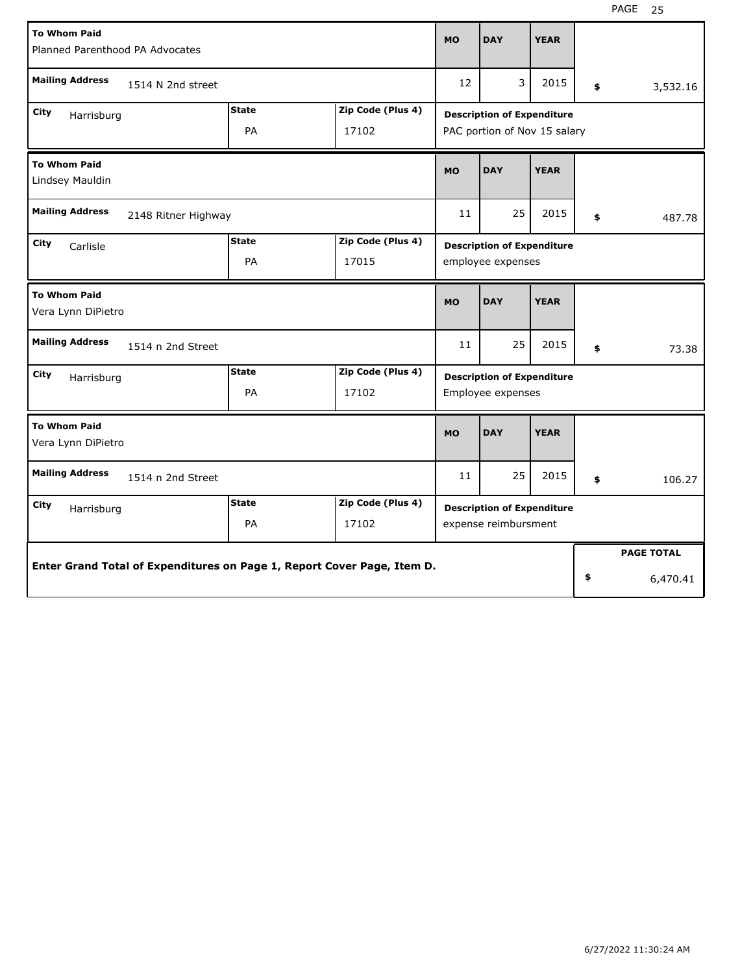| <b>To Whom Paid</b><br>Planned Parenthood PA Advocates                  |                    |                            | <b>MO</b>                                                         | <b>DAY</b> | <b>YEAR</b> |    |                   |
|-------------------------------------------------------------------------|--------------------|----------------------------|-------------------------------------------------------------------|------------|-------------|----|-------------------|
| <b>Mailing Address</b><br>1514 N 2nd street                             |                    |                            | 12                                                                | 3          | 2015        | \$ | 3,532.16          |
| City<br>Harrisburg                                                      | <b>State</b><br>PA | Zip Code (Plus 4)<br>17102 | <b>Description of Expenditure</b><br>PAC portion of Nov 15 salary |            |             |    |                   |
| <b>To Whom Paid</b><br>Lindsey Mauldin                                  |                    |                            | <b>MO</b>                                                         | <b>DAY</b> | <b>YEAR</b> |    |                   |
| <b>Mailing Address</b><br>2148 Ritner Highway                           |                    |                            | 11                                                                | 25         | 2015        | \$ | 487.78            |
| City<br>Carlisle                                                        | <b>State</b><br>PA | Zip Code (Plus 4)<br>17015 | <b>Description of Expenditure</b><br>employee expenses            |            |             |    |                   |
| <b>To Whom Paid</b><br>Vera Lynn DiPietro                               |                    |                            | <b>MO</b>                                                         | <b>DAY</b> | <b>YEAR</b> |    |                   |
| <b>Mailing Address</b><br>1514 n 2nd Street                             |                    |                            | 11                                                                | 25         | 2015        | \$ | 73.38             |
| City<br>Harrisburg                                                      | <b>State</b><br>PA | Zip Code (Plus 4)<br>17102 | <b>Description of Expenditure</b><br>Employee expenses            |            |             |    |                   |
| <b>To Whom Paid</b><br>Vera Lynn DiPietro                               |                    |                            | <b>MO</b>                                                         | <b>DAY</b> | <b>YEAR</b> |    |                   |
| <b>Mailing Address</b><br>1514 n 2nd Street                             |                    |                            | 11                                                                | 25         | 2015        | \$ | 106.27            |
| City<br>Harrisburg                                                      | <b>State</b><br>PA | Zip Code (Plus 4)<br>17102 | <b>Description of Expenditure</b><br>expense reimbursment         |            |             |    |                   |
| Enter Grand Total of Expenditures on Page 1, Report Cover Page, Item D. |                    |                            |                                                                   |            |             |    | <b>PAGE TOTAL</b> |
|                                                                         |                    |                            |                                                                   |            |             | \$ | 6,470.41          |